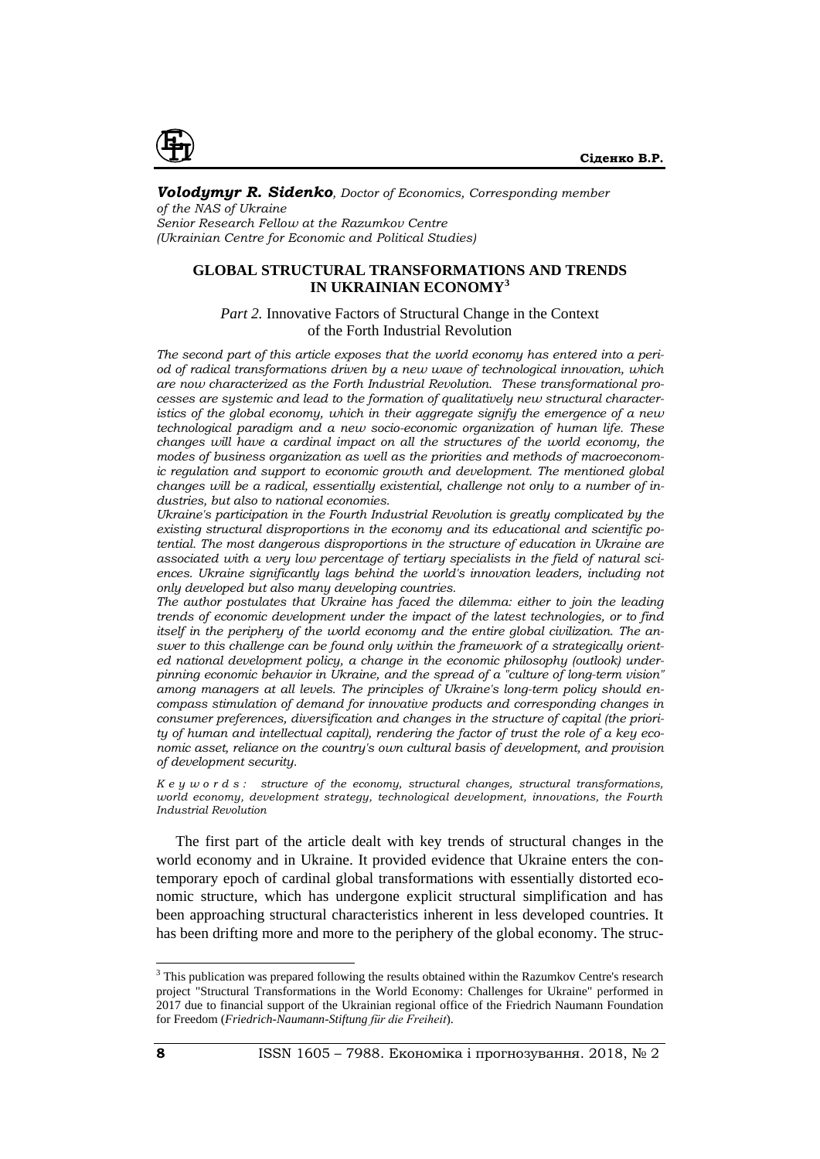

#### *Volodymyr R. Sidenko, Doctor of Economics, Corresponding member of the NAS of Ukraine*

*Senior Research Fellow at the Razumkov Centre (Ukrainian Centre for Economic and Political Studies)*

## **GLOBAL STRUCTURAL TRANSFORMATIONS AND TRENDS IN UKRAINIAN ECONOMY<sup>3</sup>**

Part 2. Innovative Factors of Structural Change in the Context of the Forth Industrial Revolution

*The second part of this article exposes that the world economy has entered into a period of radical transformations driven by a new wave of technological innovation, which are now characterized as the Forth Industrial Revolution. These transformational processes are systemic and lead to the formation of qualitatively new structural characteristics of the global economy, which in their aggregate signify the emergence of a new technological paradigm and a new socio-economic organization of human life. These changes will have a cardinal impact on all the structures of the world economy, the modes of business organization as well as the priorities and methods of macroeconomic regulation and support to economic growth and development. The mentioned global changes will be a radical, essentially existential, challenge not only to a number of industries, but also to national economies.*

*Ukraine's participation in the Fourth Industrial Revolution is greatly complicated by the existing structural disproportions in the economy and its educational and scientific potential. The most dangerous disproportions in the structure of education in Ukraine are associated with a very low percentage of tertiary specialists in the field of natural sciences. Ukraine significantly lags behind the world's innovation leaders, including not only developed but also many developing countries.*

*The author postulates that Ukraine has faced the dilemma: either to join the leading trends of economic development under the impact of the latest technologies, or to find itself in the periphery of the world economy and the entire global civilization. The answer to this challenge can be found only within the framework of a strategically oriented national development policy, a change in the economic philosophy (outlook) underpinning economic behavior in Ukraine, and the spread of a "culture of long-term vision" among managers at all levels. The principles of Ukraine's long-term policy should encompass stimulation of demand for innovative products and corresponding changes in consumer preferences, diversification and changes in the structure of capital (the priority of human and intellectual capital), rendering the factor of trust the role of a key economic asset, reliance on the country's own cultural basis of development, and provision of development security.*

*K e y w o r d s : structure of the economy, structural changes, structural transformations, world economy, development strategy, technological development, innovations, the Fourth Industrial Revolution*

The first part of the article dealt with key trends of structural changes in the world economy and in Ukraine. It provided evidence that Ukraine enters the contemporary epoch of cardinal global transformations with essentially distorted economic structure, which has undergone explicit structural simplification and has been approaching structural characteristics inherent in less developed countries. It has been drifting more and more to the periphery of the global economy. The struc-

<sup>&</sup>lt;sup>3</sup> This publication was prepared following the results obtained within the Razumkov Centre's research project "Structural Transformations in the World Economy: Challenges for Ukraine" performed in 2017 due to financial support of the Ukrainian regional office of the Friedrich Naumann Foundation for Freedom (*Friedrich-Naumann-Stiftung für die Freiheit*).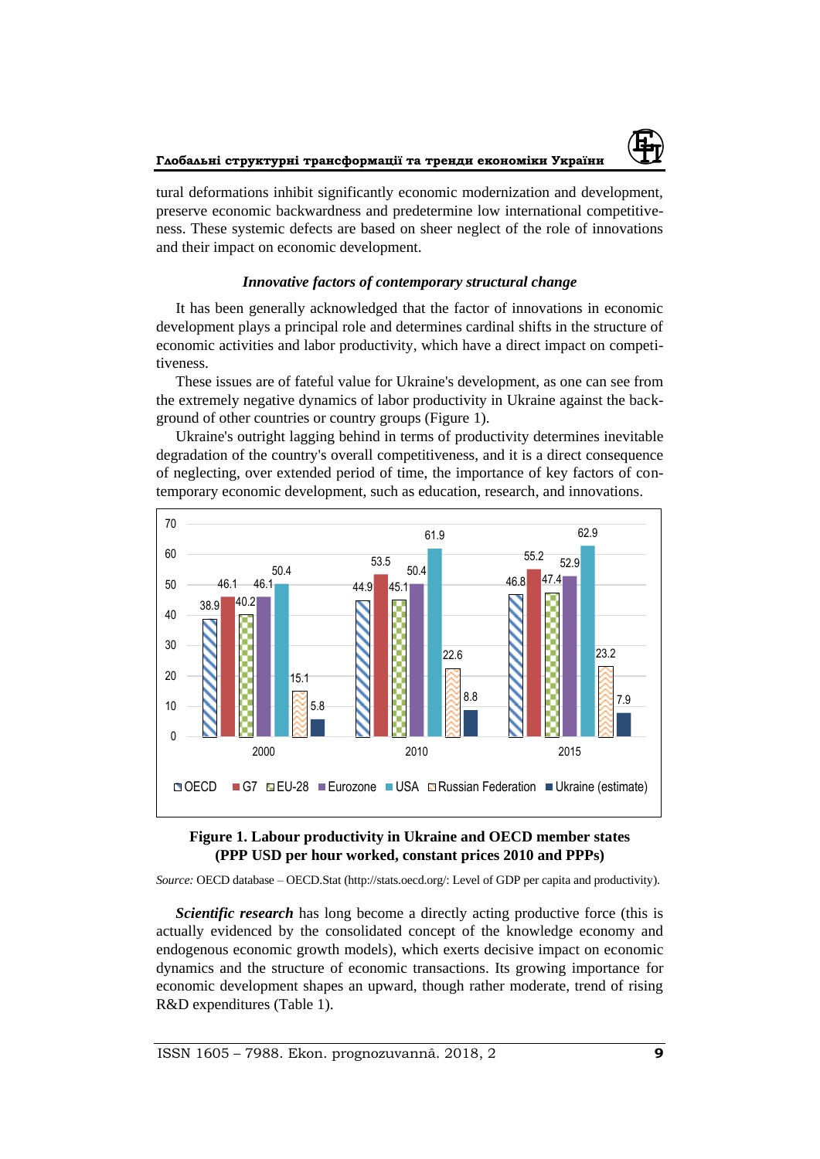

tural deformations inhibit significantly economic modernization and development, preserve economic backwardness and predetermine low international competitiveness. These systemic defects are based on sheer neglect of the role of innovations and their impact on economic development.

## *Innovative factors of contemporary structural change*

It has been generally acknowledged that the factor of innovations in economic development plays a principal role and determines cardinal shifts in the structure of economic activities and labor productivity, which have a direct impact on competitiveness.

These issues are of fateful value for Ukraine's development, as one can see from the extremely negative dynamics of labor productivity in Ukraine against the background of other countries or country groups (Figure 1).

Ukraine's outright lagging behind in terms of productivity determines inevitable degradation of the country's overall competitiveness, and it is a direct consequence of neglecting, over extended period of time, the importance of key factors of contemporary economic development, such as education, research, and innovations.



# **Figure 1. Labour productivity in Ukraine and OECD member states (PPP USD per hour worked, constant prices 2010 and PPPs)**

*Source:* OECD database – OECD.Stat [\(http://stats.oecd.org/:](http://stats.oecd.org/) Level of GDP per capita and productivity).

*Scientific research* has long become a directly acting productive force (this is actually evidenced by the consolidated concept of the knowledge economy and endogenous economic growth models), which exerts decisive impact on economic dynamics and the structure of economic transactions. Its growing importance for economic development shapes an upward, though rather moderate, trend of rising R&D expenditures (Table 1).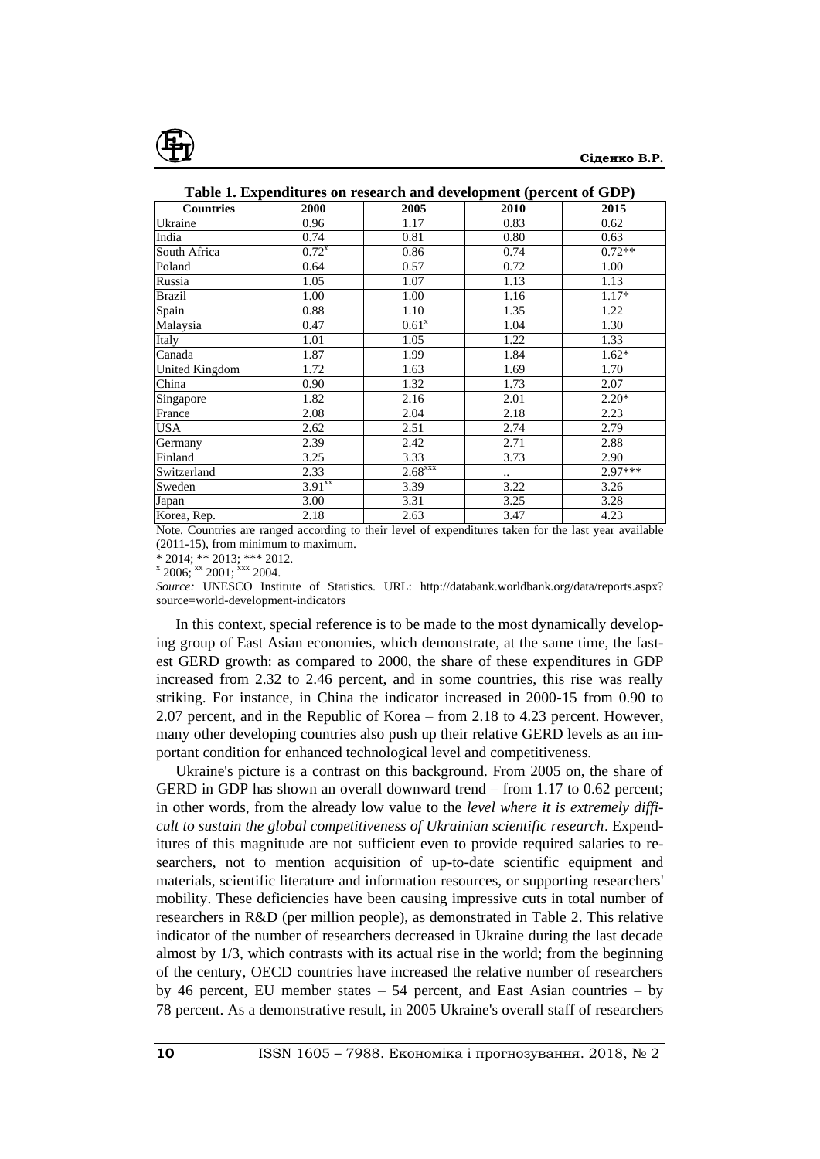

|                  |                    | Table 1. Expenditures on research and development (percent of GDP) |           |           |
|------------------|--------------------|--------------------------------------------------------------------|-----------|-----------|
| <b>Countries</b> | 2000               | 2005                                                               | 2010      | 2015      |
| Ukraine          | 0.96               | 1.17                                                               | 0.83      | 0.62      |
| India            | 0.74               | 0.81                                                               | 0.80      | 0.63      |
| South Africa     | $0.72^{x}$         | 0.86                                                               | 0.74      | $0.72**$  |
| Poland           | 0.64               | 0.57                                                               | 0.72      | 1.00      |
| Russia           | 1.05               | 1.07                                                               | 1.13      | 1.13      |
| <b>Brazil</b>    | 1.00               | 1.00                                                               | 1.16      | $1.17*$   |
| Spain            | 0.88               | 1.10                                                               | 1.35      | 1.22      |
| Malaysia         | 0.47               | $0.61^x$                                                           | 1.04      | 1.30      |
| Italy            | 1.01               | 1.05                                                               | 1.22      | 1.33      |
| Canada           | 1.87               | 1.99                                                               | 1.84      | $1.62*$   |
| United Kingdom   | 1.72               | 1.63                                                               | 1.69      | 1.70      |
| China            | 0.90               | 1.32                                                               | 1.73      | 2.07      |
| Singapore        | 1.82               | 2.16                                                               | 2.01      | $2.20*$   |
| France           | 2.08               | 2.04                                                               | 2.18      | 2.23      |
| <b>USA</b>       | 2.62               | 2.51                                                               | 2.74      | 2.79      |
| Germany          | 2.39               | 2.42                                                               | 2.71      | 2.88      |
| Finland          | 3.25               | 3.33                                                               | 3.73      | 2.90      |
| Switzerland      | 2.33               | $2.68$ <sup>xxx</sup>                                              | $\cdot$ . | $2.97***$ |
| Sweden           | 3.91 <sup>xx</sup> | 3.39                                                               | 3.22      | 3.26      |
| Japan            | 3.00               | 3.31                                                               | 3.25      | 3.28      |
| Korea, Rep.      | 2.18               | 2.63                                                               | 3.47      | 4.23      |

**Table 1. Expenditures on research and development (percent of GDP)**

Note. Countries are ranged according to their level of expenditures taken for the last year available (2011-15), from minimum to maximum.

\* 2014; \*\* 2013; \*\*\* 2012. х 2006; хх 2001; ххх 2004.

*Source:* UNESCO Institute of Statistics. URL: [http://databank.worldbank.org/data/reports.aspx?](http://databank.worldbank.org/data/reports.aspx?source=world-development-indicators) [source=world-development-indicators](http://databank.worldbank.org/data/reports.aspx?source=world-development-indicators)

In this context, special reference is to be made to the most dynamically developing group of East Asian economies, which demonstrate, at the same time, the fastest GERD growth: as compared to 2000, the share of these expenditures in GDP increased from 2.32 to 2.46 percent, and in some countries, this rise was really striking. For instance, in China the indicator increased in 2000-15 from 0.90 to 2.07 percent, and in the Republic of Korea – from 2.18 to 4.23 percent. However, many other developing countries also push up their relative GERD levels as an important condition for enhanced technological level and competitiveness.

Ukraine's picture is a contrast on this background. From 2005 on, the share of GERD in GDP has shown an overall downward trend – from 1.17 to 0.62 percent; in other words, from the already low value to the *level where it is extremely difficult to sustain the global competitiveness of Ukrainian scientific research*. Expenditures of this magnitude are not sufficient even to provide required salaries to researchers, not to mention acquisition of up-to-date scientific equipment and materials, scientific literature and information resources, or supporting researchers' mobility. These deficiencies have been causing impressive cuts in total number of researchers in R&D (per million people), as demonstrated in Table 2. This relative indicator of the number of researchers decreased in Ukraine during the last decade almost by 1/3, which contrasts with its actual rise in the world; from the beginning of the century, OECD countries have increased the relative number of researchers by 46 percent, EU member states – 54 percent, and East Asian countries – by 78 percent. As a demonstrative result, in 2005 Ukraine's overall staff of researchers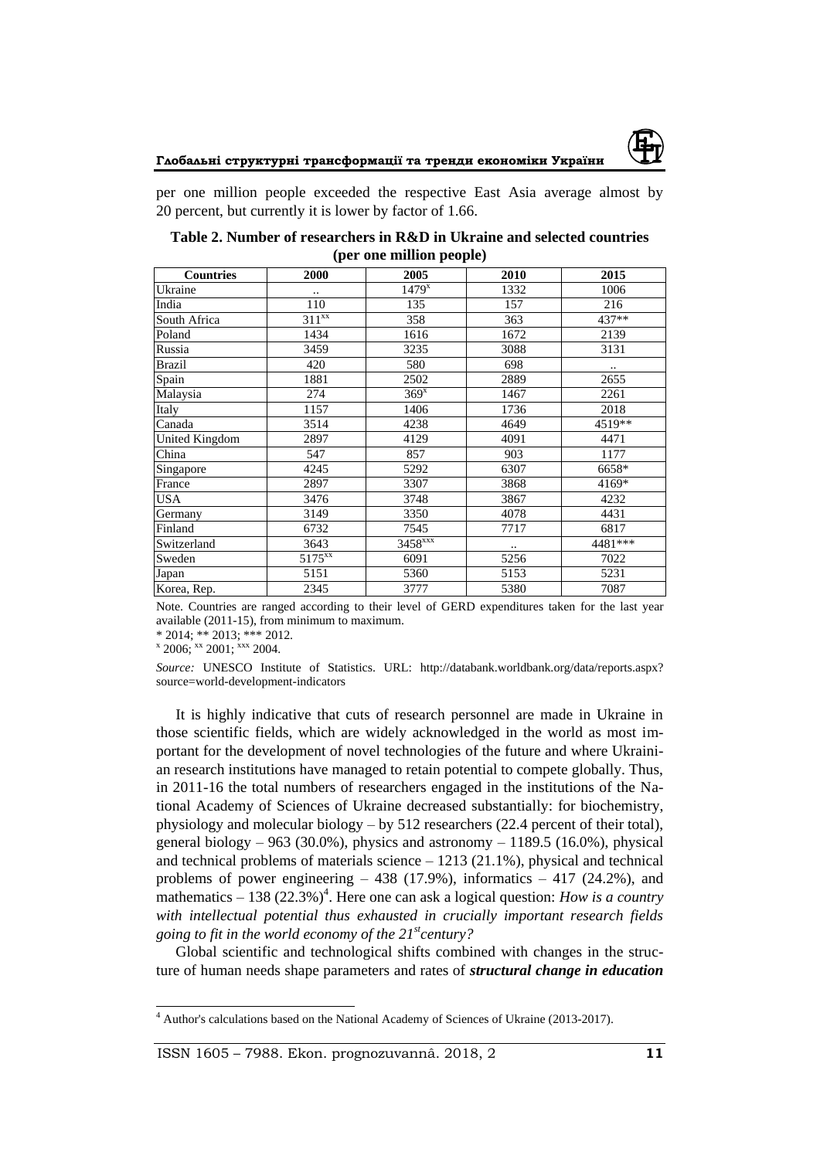

per one million people exceeded the respective East Asia average almost by 20 percent, but currently it is lower by factor of 1.66.

|                       | Æ           |                     |           |         |
|-----------------------|-------------|---------------------|-----------|---------|
| <b>Countries</b>      | 2000        | 2005                | 2010      | 2015    |
| Ukraine               | $\bullet$ . | $1479^{x}$          | 1332      | 1006    |
| India                 | 110         | 135                 | 157       | 216     |
| South Africa          | $311^{xx}$  | 358                 | 363       | 437**   |
| Poland                | 1434        | 1616                | 1672      | 2139    |
| Russia                | 3459        | 3235                | 3088      | 3131    |
| <b>Brazil</b>         | 420         | 580                 | 698       |         |
| Spain                 | 1881        | 2502                | 2889      | 2655    |
| Malaysia              | 274         | 369 <sup>x</sup>    | 1467      | 2261    |
| Italy                 | 1157        | 1406                | 1736      | 2018    |
| Canada                | 3514        | 4238                | 4649      | 4519**  |
| <b>United Kingdom</b> | 2897        | 4129                | 4091      | 4471    |
| China                 | 547         | 857                 | 903       | 1177    |
| Singapore             | 4245        | 5292                | 6307      | 6658*   |
| France                | 2897        | 3307                | 3868      | 4169*   |
| <b>USA</b>            | 3476        | 3748                | 3867      | 4232    |
| Germany               | 3149        | 3350                | 4078      | 4431    |
| Finland               | 6732        | 7545                | 7717      | 6817    |
| Switzerland           | 3643        | 3458 <sup>xxx</sup> | $\ddotsc$ | 4481*** |
| Sweden                | $5175^{xx}$ | 6091                | 5256      | 7022    |
| Japan                 | 5151        | 5360                | 5153      | 5231    |
| Korea, Rep.           | 2345        | 3777                | 5380      | 7087    |

| Table 2. Number of researchers in R&D in Ukraine and selected countries |                          |  |  |
|-------------------------------------------------------------------------|--------------------------|--|--|
|                                                                         | (per one million people) |  |  |

Note. Countries are ranged according to their level of GERD expenditures taken for the last year available (2011-15), from minimum to maximum.

\* 2014; \*\* 2013; \*\*\* 2012.

 $\frac{x}{2006}$ ;  $\frac{xx}{2001}$ ;  $\frac{xx}{2004}$ .

 $\overline{a}$ 

*Source:* UNESCO Institute of Statistics. URL: [http://databank.worldbank.org/data/reports.aspx?](http://databank.worldbank.org/data/reports.aspx?source=world-development-indicators) [source=world-development-indicators](http://databank.worldbank.org/data/reports.aspx?source=world-development-indicators)

It is highly indicative that cuts of research personnel are made in Ukraine in those scientific fields, which are widely acknowledged in the world as most important for the development of novel technologies of the future and where Ukrainian research institutions have managed to retain potential to compete globally. Thus, in 2011-16 the total numbers of researchers engaged in the institutions of the National Academy of Sciences of Ukraine decreased substantially: for biochemistry, physiology and molecular biology – by 512 researchers (22.4 percent of their total), general biology – 963 (30.0%), physics and astronomy – 1189.5 (16.0%), physical and technical problems of materials science  $-1213$  (21.1%), physical and technical problems of power engineering  $-438$  (17.9%), informatics  $-417$  (24.2%), and mathematics  $-138 (22.3%)^4$ . Here one can ask a logical question: *How is a country with intellectual potential thus exhausted in crucially important research fields going to fit in the world economy of the 21stcentury?*

Global scientific and technological shifts combined with changes in the structure of human needs shape parameters and rates of *structural change in education* 

ISSN 1605 – 7988. Ekon. prognozuvannâ. 2018, 2 **11**

<sup>4</sup> Author's calculations based on the National Academy of Sciences of Ukraine (2013-2017).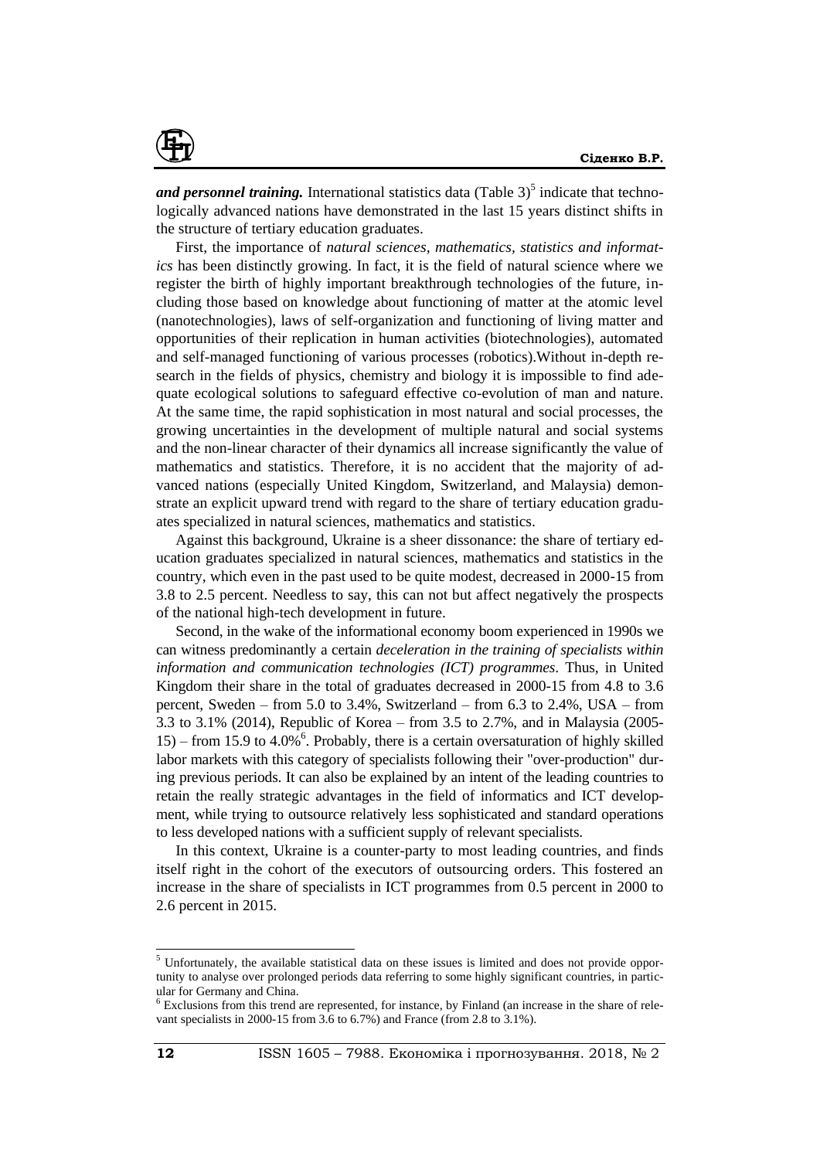

and personnel training. International statistics data (Table 3)<sup>5</sup> indicate that technologically advanced nations have demonstrated in the last 15 years distinct shifts in the structure of tertiary education graduates.

First, the importance of *natural sciences, mathematics, statistics and informatics* has been distinctly growing. In fact, it is the field of natural science where we register the birth of highly important breakthrough technologies of the future, including those based on knowledge about functioning of matter at the atomic level (nanotechnologies), laws of self-organization and functioning of living matter and opportunities of their replication in human activities (biotechnologies), automated and self-managed functioning of various processes (robotics).Without in-depth research in the fields of physics, chemistry and biology it is impossible to find adequate ecological solutions to safeguard effective co-evolution of man and nature. At the same time, the rapid sophistication in most natural and social processes, the growing uncertainties in the development of multiple natural and social systems and the non-linear character of their dynamics all increase significantly the value of mathematics and statistics. Therefore, it is no accident that the majority of advanced nations (especially United Kingdom, Switzerland, and Malaysia) demonstrate an explicit upward trend with regard to the share of tertiary education graduates specialized in natural sciences, mathematics and statistics.

Against this background, Ukraine is a sheer dissonance: the share of tertiary education graduates specialized in natural sciences, mathematics and statistics in the country, which even in the past used to be quite modest, decreased in 2000-15 from 3.8 to 2.5 percent. Needless to say, this can not but affect negatively the prospects of the national high-tech development in future.

Second, in the wake of the informational economy boom experienced in 1990s we can witness predominantly a certain *deceleration in the training of specialists within information and communication technologies (ICT) programmes*. Thus, in United Kingdom their share in the total of graduates decreased in 2000-15 from 4.8 to 3.6 percent, Sweden – from 5.0 to 3.4%, Switzerland – from 6.3 to 2.4%, USA – from 3.3 to 3.1% (2014), Republic of Korea – from 3.5 to 2.7%, and in Malaysia (2005-  $15$  – from 15.9 to 4.0%<sup>6</sup>. Probably, there is a certain oversaturation of highly skilled labor markets with this category of specialists following their "over-production" during previous periods. It can also be explained by an intent of the leading countries to retain the really strategic advantages in the field of informatics and ICT development, while trying to outsource relatively less sophisticated and standard operations to less developed nations with a sufficient supply of relevant specialists.

In this context, Ukraine is a counter-party to most leading countries, and finds itself right in the cohort of the executors of outsourcing orders. This fostered an increase in the share of specialists in ICT programmes from 0.5 percent in 2000 to 2.6 percent in 2015.

<sup>5</sup> Unfortunately, the available statistical data on these issues is limited and does not provide opportunity to analyse over prolonged periods data referring to some highly significant countries, in particular for Germany and China.

<sup>6</sup> Exclusions from this trend are represented, for instance, by Finland (an increase in the share of relevant specialists in 2000-15 from 3.6 to 6.7%) and France (from 2.8 to 3.1%).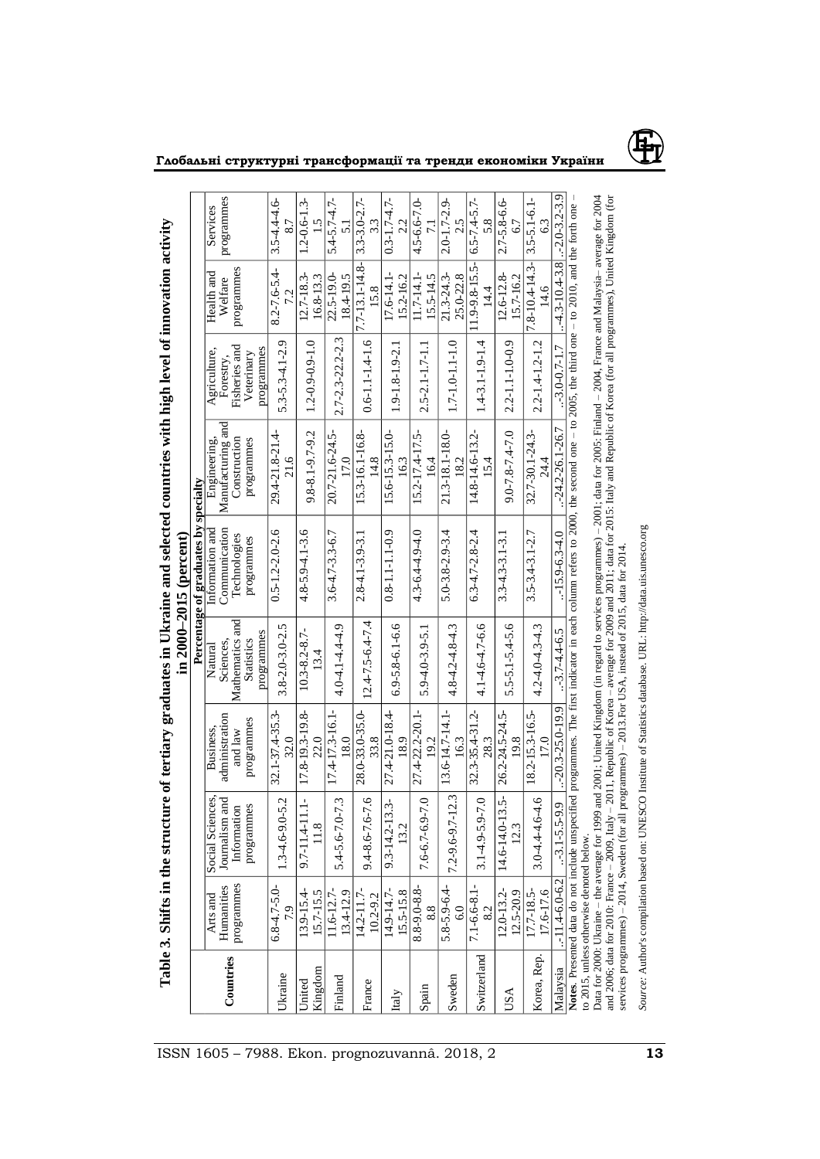|                   |                                          |                                    |                                  |                                                                                                          |                                 | Table 3. Shifts in the structure of tertiary graduates in Ukraine and selected countries with high level of innovation activity                                                           |                              |                                     |                                |
|-------------------|------------------------------------------|------------------------------------|----------------------------------|----------------------------------------------------------------------------------------------------------|---------------------------------|-------------------------------------------------------------------------------------------------------------------------------------------------------------------------------------------|------------------------------|-------------------------------------|--------------------------------|
|                   |                                          |                                    |                                  |                                                                                                          | in $2000-2015$ (percent)        |                                                                                                                                                                                           |                              |                                     |                                |
|                   |                                          |                                    |                                  |                                                                                                          | Percentage of graduates by      | specialty                                                                                                                                                                                 |                              |                                     |                                |
|                   | Humanities<br>Arts and                   | Social Sciences,<br>Journalism and | administration<br>Business.      | Sciences.<br>Natural                                                                                     | Communication<br>nformation and | Manufacturing and<br>Engineering,                                                                                                                                                         | Agriculture<br>Forestry,     | Health and<br>Welfare               | programmes<br>Services         |
| Countries         | programmes                               | Information                        | and law                          | Mathematics and                                                                                          | Technologies                    | Construction                                                                                                                                                                              | Fisheries and                | programmes                          |                                |
|                   |                                          | programmes                         | programmes                       | programmes<br>Statistics                                                                                 | programmes                      | programmes                                                                                                                                                                                | programmes<br>Veterinary     |                                     |                                |
| Ukraine           | $6.8 - 4.7 - 5.0$<br>7.9                 | L,<br>$1.3 - 4.6 - 9.0 - 5$        | $32.1 - 37.4 - 35.3$<br>32.0     | $3.8 - 2.0 - 3.0 - 2.5$                                                                                  | $0.5 - 1.2 - 2.0 - 2.6$         | $29.4 - 21.8 - 21.4$<br>21.6                                                                                                                                                              | Q<br>$5.3 - 5.3 - 4.1 - 2.$  | $8.2 - 7.6 - 5.4$                   | $3.5 - 4.4 - 4.6$<br>$\approx$ |
| Kingdom<br>United | $13.9 - 15.4$<br>$15.7 - 15.5$           | $9.7 - 11.4 - 11.1$<br>1.8         | $17.8 - 19.3 - 19.8$<br>22.0     | $10.3 - 8.2 - 8.7$<br>13.4                                                                               | $4.8 - 5.9 - 4.1 - 3.6$         | $9.8 - 8.1 - 9.7 - 9.2$                                                                                                                                                                   | $1.2 - 0.9 - 0.9 - 1.0$      | $12.7 - 18.3$<br>16.8-13.3          | $1.2 - 0.6 - 1.3$<br>1.5       |
| Finland           | $1.6 - 12.7$<br>$13.4 - 12.9$            | S<br>$5.4 - 5.6 - 7.0 - 7$         | 17.4-17.3-16.1-<br>$\frac{8}{3}$ | $4.0 - 4.1 - 4.4 - 4.9$                                                                                  | $3.6 - 4.7 - 3.3 - 6.7$         | $20.7 - 21.6 - 24.5$                                                                                                                                                                      | S<br>$2.7 - 2.3 - 22.2 - 2.$ | 22.5-19.0-<br>18.4-19.5             | $5.4 - 5.7 - 4.7 -$            |
| France            | $14.2 - 11.7$<br>$10.2 - 9.2$            | ڢ<br>$9.4 - 8.6 - 7.6 - 7$         | 28.0-33.0-35.0-<br>33.8          | $.2.4 - 7.5 - 6.4 - 7.4$                                                                                 | $2.8 - 4.1 - 3.9 - 3.1$         | 15.3-16.1-16.8<br>$\frac{8}{4}$                                                                                                                                                           | $0.6 - 1.1 - 1.4 - 1.6$      | $7.7 - 13.1 - 14.8$<br>15.8         | $3.3 - 3.0 - 2.7 -$            |
| Italy             | 14.9-14.7-<br>$15.5 - 15.8$              | 3-<br>$9.3 - 14.2 - 13.$<br>13.2   | $27.4 - 21.0 - 18.4$<br>18.9     | $6.9 - 5.8 - 6.1 - 6.6$                                                                                  | $0.8 - 1.1 - 1.1 - 0.9$         | $15.6 - 15.3 - 15.0$<br>16.3                                                                                                                                                              | $1.9 - 1.8 - 1.9 - 2.$       | $15.2 - 16.2$<br>$17.6 - 14.$       | $0.3 - 1.7 - 4.7 -$            |
| Spain             | $8.8 - 9.0 - 8.8$<br>8.8                 | Q<br>$7.6 - 6.7 - 6.9 - 7$         | 27.4-22.2-20.1-<br>19.2          | $5.9 - 4.0 - 3.9 - 5.1$                                                                                  | $4.3 - 6.4 - 4.9 - 4.0$         | $15.2 - 17.4 - 17.5$<br>$\frac{4}{3}$                                                                                                                                                     | $2.5 - 2.1 - 1.7 - 1.1$      | $11.7 - 14.1 -$<br>$15.5 - 14.5$    | $4.5 - 6.6 - 7.0$              |
| Sweden            | $5.8 - 5.9 - 6.4 -$<br>$\overline{6.0}$  | $7.2 - 9.6 - 9.7 - 12.3$           | 13.6-14.7-14.1-<br>16.3          | $4.8 - 4.2 - 4.8 - 4.3$                                                                                  | $5.0 - 3.8 - 2.9 - 3.4$         | $21.3 - 18.1 - 18.0$<br><u>ss</u>                                                                                                                                                         | $1.7 - 1.0 - 1.1 - 1.0$      | $21.3 - 24.3$<br>25.0-22.8          | $2.0 - 1.7 - 2.9$<br>2.5       |
| Switzerland       | $7.1 - 6.6 - 8.1$<br>8.2                 | Q<br>$3.1 - 4.9 - 5.9 - 7$         | $32.3 - 35.4 - 31.2$<br>28.3     | 4.1-4.6-4.7-6.6                                                                                          | $6.3 - 4.7 - 2.8 - 2.4$         | $14.8 - 14.6 - 13.2$<br>15.4                                                                                                                                                              | $1.4 - 3.1 - 1.9 - 1.4$      | $1.9 - 9.8 - 15.5$<br>$\frac{4}{1}$ | $6.5 - 7.4 - 5.7$<br>5.8       |
| USA               | $12.0 - 13.2 -$<br>$12.5 - 20.9$         | ή.<br>$14.6 - 14.0 - 13.$<br>12.3  | $26.2 - 24.5 - 24.5$<br>19.8     | $.5 - 5.1 - 5.4 - 5.6$                                                                                   | $3.3 - 4.3 - 3.1 - 3.1$         | $9.0 - 7.8 - 7.4 - 7.0$                                                                                                                                                                   | $2.2 - 1.1 - 1.0 - 0.9$      | 5.7-16.2<br>$12.6 - 12.8$           | $2.7 - 5.8 - 6.6$<br>6.7       |
| Korea, Rep.       | 17.7-18.5-<br>$17.6 - 17.6$              | 9.1<br>$3.0 - 4.4 - 4.6 - 4$       | $18.2 - 15.3 - 16.5$<br>17.0     | $4.2 - 4.0 - 4.3 - 4.3$                                                                                  | $3.5 - 3.4 - 3.1 - 2.7$         | $32.7 - 30.1 - 24.3$<br>24.4                                                                                                                                                              | $2.2 - 1.4 - 1.2 - 1.2$      | $7.8 - 10.4 - 14.3$<br>14.6         | $3.5 - 5.1 - 6.1 -$<br>63      |
| Malaysia          | $1.4 - 6.0 - 6.2$                        | $\sigma$<br>$-.3.1 - 5.5 - 9$      | $-.20.3 - 25.0 - 19.9$           | $-.3.74.4-6.5$                                                                                           | $-15.9 - 6.3 - 4.0$             | $-24.2 - 26.1 - 26.7$                                                                                                                                                                     | $-3.0 - 0.7 - 1.7$           | $-4.3 - 10.4 - 3.8$                 | $-2.0 - 3.2 - 3.9$             |
|                   | to 2015, unless otherwise denoted below. |                                    |                                  |                                                                                                          |                                 | Notes. Presented data do not include unspecified programmes. The first indicator in each column refers to 2000, the second one - to 2005, the third one - to 2010, and the forth one      |                              |                                     |                                |
|                   |                                          |                                    |                                  |                                                                                                          |                                 | Data for 2000: Ukraine – the average for 1999 and 2001; United Kingdom (in regard to services programmes) – 2001; data for 2005: Finland – 2004, France and Malaysia- average for 2004    |                              |                                     |                                |
|                   |                                          |                                    |                                  | services programmes) - 2014, Sweden (for all programmes) - 2013. For USA, instead of 2015, data for 2014 |                                 | and 2006; data for 2010; France - 2009, Italy - 2011, Republic of Korea - average for 2009 and 2011; data for 2015: Italy and Republic of Korea (for all programmes), United Kingdom (for |                              |                                     |                                |

**Глобальні структурні трансформації та тренди економіки України**



services programmes) – 2014, Sweden (for all programmes) – 2013.For USA, instead of 2015, data for 2014. *Source:* Author's compilation based on: UNESCO Institute of Statistics database. URL: http://data.uis.unesco.org

Source: Author's compilation based on: UNESCO Institute of Statistics database. URL: http://data.uis.unesco.org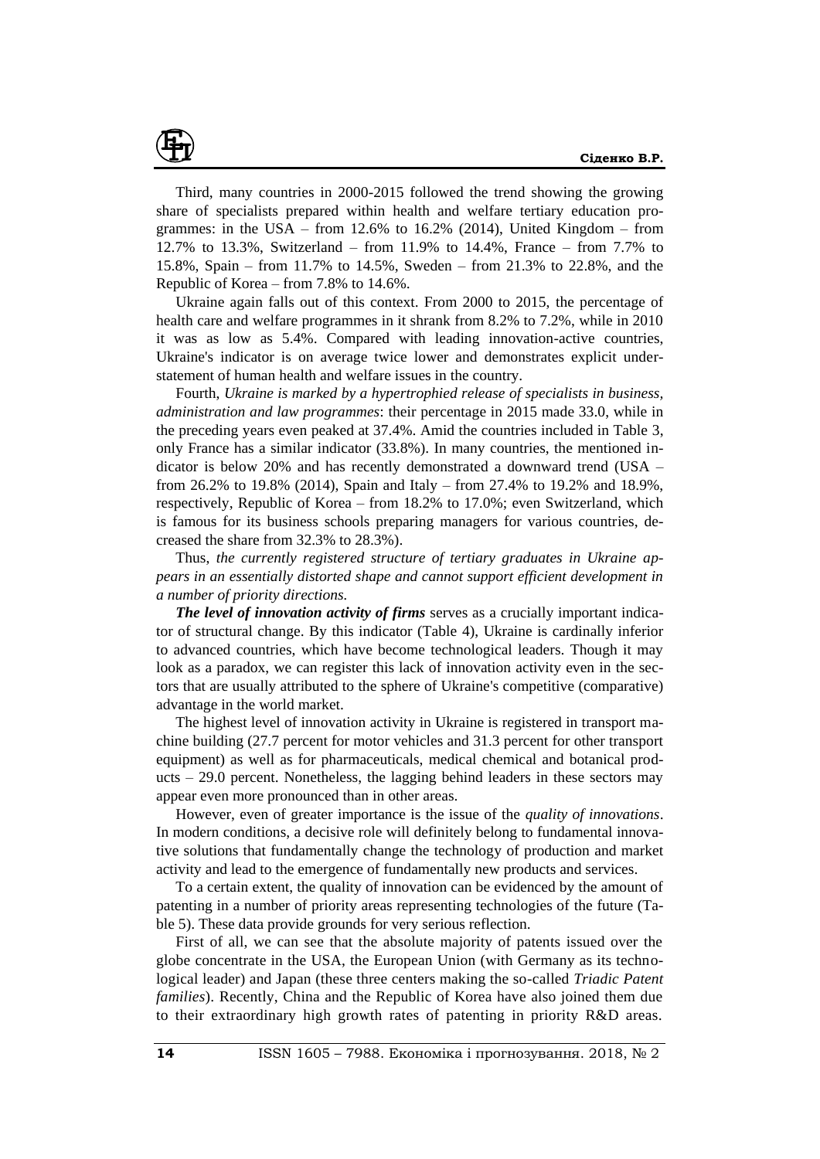

Third, many countries in 2000-2015 followed the trend showing the growing share of specialists prepared within health and welfare tertiary education programmes: in the USA – from  $12.6\%$  to  $16.2\%$  (2014), United Kingdom – from 12.7% to 13.3%, Switzerland – from 11.9% to 14.4%, France – from 7.7% to 15.8%, Spain – from 11.7% to 14.5%, Sweden – from 21.3% to 22.8%, and the Republic of Korea – from 7.8% to 14.6%.

Ukraine again falls out of this context. From 2000 to 2015, the percentage of health care and welfare programmes in it shrank from 8.2% to 7.2%, while in 2010 it was as low as 5.4%. Compared with leading innovation-active countries, Ukraine's indicator is on average twice lower and demonstrates explicit understatement of human health and welfare issues in the country.

Fourth, *Ukraine is marked by a hypertrophied release of specialists in business, administration and law programmes*: their percentage in 2015 made 33.0, while in the preceding years even peaked at 37.4%. Amid the countries included in Table 3, only France has a similar indicator (33.8%). In many countries, the mentioned indicator is below 20% and has recently demonstrated a downward trend (USA – from 26.2% to 19.8% (2014), Spain and Italy – from 27.4% to 19.2% and 18.9%, respectively, Republic of Korea – from 18.2% to 17.0%; even Switzerland, which is famous for its business schools preparing managers for various countries, decreased the share from 32.3% to 28.3%).

Thus, *the currently registered structure of tertiary graduates in Ukraine appears in an essentially distorted shape and cannot support efficient development in a number of priority directions.*

*The level of innovation activity of firms* serves as a crucially important indicator of structural change. By this indicator (Table 4), Ukraine is cardinally inferior to advanced countries, which have become technological leaders. Though it may look as a paradox, we can register this lack of innovation activity even in the sectors that are usually attributed to the sphere of Ukraine's competitive (comparative) advantage in the world market.

The highest level of innovation activity in Ukraine is registered in transport machine building (27.7 percent for motor vehicles and 31.3 percent for other transport equipment) as well as for pharmaceuticals, medical chemical and botanical products – 29.0 percent. Nonetheless, the lagging behind leaders in these sectors may appear even more pronounced than in other areas.

However, even of greater importance is the issue of the *quality of innovations*. In modern conditions, a decisive role will definitely belong to fundamental innovative solutions that fundamentally change the technology of production and market activity and lead to the emergence of fundamentally new products and services.

To a certain extent, the quality of innovation can be evidenced by the amount of patenting in a number of priority areas representing technologies of the future (Table 5). These data provide grounds for very serious reflection.

First of all, we can see that the absolute majority of patents issued over the globe concentrate in the USA, the European Union (with Germany as its technological leader) and Japan (these three centers making the so-called *Triadic Patent families*). Recently, China and the Republic of Korea have also joined them due to their extraordinary high growth rates of patenting in priority R&D areas.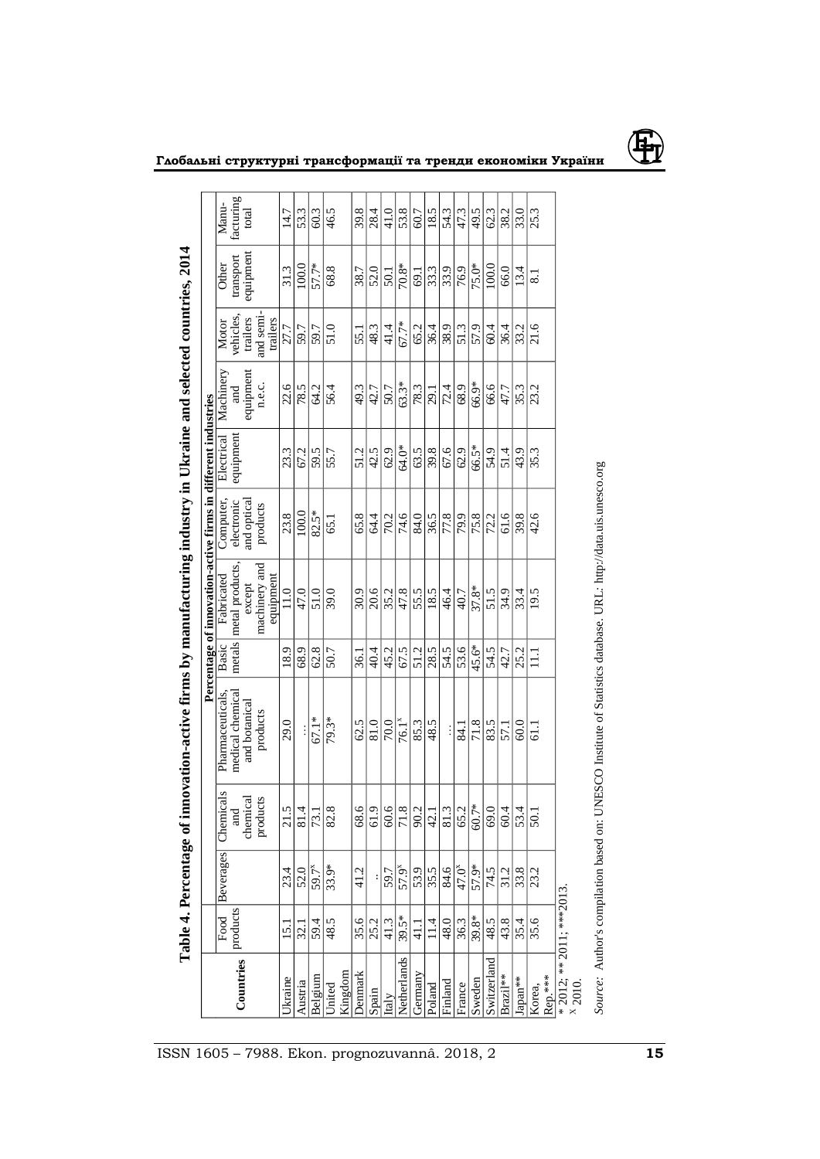|                                                 |                   |                   |                  | Table 4. Percentage of innovation-active firms by manufacturing industry in Ukraine and selected countries, 2014 |                 |                                                               |                         |                         |                  |                       |                    |                    |
|-------------------------------------------------|-------------------|-------------------|------------------|------------------------------------------------------------------------------------------------------------------|-----------------|---------------------------------------------------------------|-------------------------|-------------------------|------------------|-----------------------|--------------------|--------------------|
|                                                 |                   |                   |                  |                                                                                                                  |                 | Percentage of innovation-active firms in different industries |                         |                         |                  |                       |                    |                    |
|                                                 | products<br>Food  | Beverages         | Chemicals<br>and | Pharmaceuticals,<br>medical chemical                                                                             | metals<br>Basic | metal products.<br>Fabricated                                 | Computer,<br>electronic | equipment<br>Electrical | Machinery<br>and | vehicles,<br>Motor    | transport<br>Other | facturing<br>Manu- |
| Countries                                       |                   |                   | chemical         | and botanical                                                                                                    |                 | except                                                        | and optical             |                         | equipment        | trailers              | equipment          | total              |
|                                                 |                   |                   | products         | products                                                                                                         |                 | machinery and<br>equipment                                    | products                |                         | n.e.c.           | and semi-<br>trailers |                    |                    |
| <b>Jkraine</b>                                  | $\overline{15}$ . | 23.4              | 21.5             | 29.0                                                                                                             | 18.9            | 11.0                                                          | 23.8                    | 23.3                    | 22.6             | 27.7                  | 31.3               | 14.7               |
| Austria                                         | 32.1              | 52.0              | 81.4             |                                                                                                                  | 68.9            | 47.0                                                          | 100.0                   | 67.2                    | 78.5             | 59.7                  | 100.0              | 53.3               |
| Belgium                                         | 59.4              | 59.7 <sup>x</sup> | <b>73.1</b>      | 67.1*                                                                                                            | 62.8            | 51.0                                                          | 82.5*                   | 59.5                    | 64.2             | 59.7                  | 57.7*              | 60.3               |
| United                                          | 48.5              | $33.9*$           | 82.8             | 79.3*                                                                                                            | 50.7            | 39.0                                                          | 65.1                    | 55.7                    | 56.4             | 51.0                  | 68.8               | 46.5               |
| Kingdom                                         |                   |                   |                  |                                                                                                                  |                 |                                                               |                         |                         |                  |                       |                    |                    |
| Denmark                                         | 35.6              | 41.2              | 68.6             | 62.5                                                                                                             | 36.1            | 30.9                                                          | 65.8                    | 51.2                    | 49.3             | 55.1                  | 38.7               | 39.8               |
| Spain                                           | 25.2              |                   | 61.9             | 81.0                                                                                                             | 40.4            | 20.6                                                          | 64.4                    | 42.5                    | 42.7             | 48.3                  | 52.0               | 28.4               |
| Italy                                           | 41.3              | 59.7              | 60.6             | 70.0                                                                                                             | 45.2            | 35.2                                                          | 70.2                    | 62.9                    | 50.7             | 41.4                  | $\overline{50}$    | 41.0               |
| Netherlands                                     | 39.5*             | 57.9 <sup>x</sup> | 71.8             | $76.1^{x}$                                                                                                       | 67.5            | 47.8                                                          | 74.6                    | 64.0*                   | 63.3*            | 67.7*                 | $70.8*$            | 53.8               |
| Germany                                         | 1<br>1            | 53.9              | 90.2             | 85.3                                                                                                             | 51.2            | 55.5                                                          | 84.0                    | 63.5                    | 78.3             | 65.2                  | $-50$              | 60.7               |
| Poland                                          | 11.4              | 35.5              | 42.1             | 48.5                                                                                                             | 28.5            | 18.5                                                          | 36.5                    | 39.8                    | $-29.1$          | 36.4                  | 33.3               | 18.5               |
| Finland                                         | 48.0              | 84.6              | 81.3             |                                                                                                                  | 54.5            | 46.4                                                          | 77.8                    | 67.6                    | 72.4             | 38.9                  | 33.9               | 54.3               |
| France                                          | 36.3              | 47.0 <sup>x</sup> | 65.2             | $-184$                                                                                                           | 53.6            | 40.7                                                          | 79.9                    | 62.9                    | 68.9             | 51.3                  | 76.9               | 47.3               |
| Sweden                                          | 39.8*             | 57.9*             | 60.7*            | 71.8                                                                                                             | 45.6*           | 37.8*                                                         | 75.8                    | 66.5*                   | 66.9*            | 57.9                  | 75.0*              | 49.5               |
| Switzerland                                     | 48.5              | 74.5              | 69.0             | 83.5                                                                                                             | 54.5            | 51.5                                                          | 72.2                    | 54.9                    | 66.6             | 60.4                  | 100.0              | 62.3               |
| Brazil**                                        | 43.8              | 31.2              | 60.4             | 57.1                                                                                                             | 42.7            | 34.9                                                          | 61.6                    | 514                     | 47.7             | 36.4                  | 66.0               | 38.2               |
| Japan**                                         | 35.4              | 33.8              | 53.4             | 60.0                                                                                                             | 25.2            | 33.4                                                          | 39.8                    | 43.9                    | 35.3             | 33.2                  | 13.4               | 33.0               |
| Korea,                                          | 35.6              | 23.2              | 50.1             | $\frac{1}{5}$                                                                                                    | Ξ               | 19.5                                                          | 42.6                    | 35.3                    | 23.2             | 21.6                  | $\overline{8.1}$   | 25.3               |
| Rep.***                                         |                   |                   |                  |                                                                                                                  |                 |                                                               |                         |                         |                  |                       |                    |                    |
| * 2012; ** 2011; ***2013.<br><sup>x</sup> 2010. |                   |                   |                  |                                                                                                                  |                 |                                                               |                         |                         |                  |                       |                    |                    |
|                                                 |                   |                   |                  |                                                                                                                  |                 |                                                               |                         |                         |                  |                       |                    |                    |

**Глобальні структурні трансформації та тренди економіки України**



*Source:* Author's compilation based on: UNESCO Institute of Statistics database. URL*:* http://data.uis.unesco.org

Source: Author's compilation based on: UNESCO Institute of Statistics database. URL: http://data.uis.unesco.org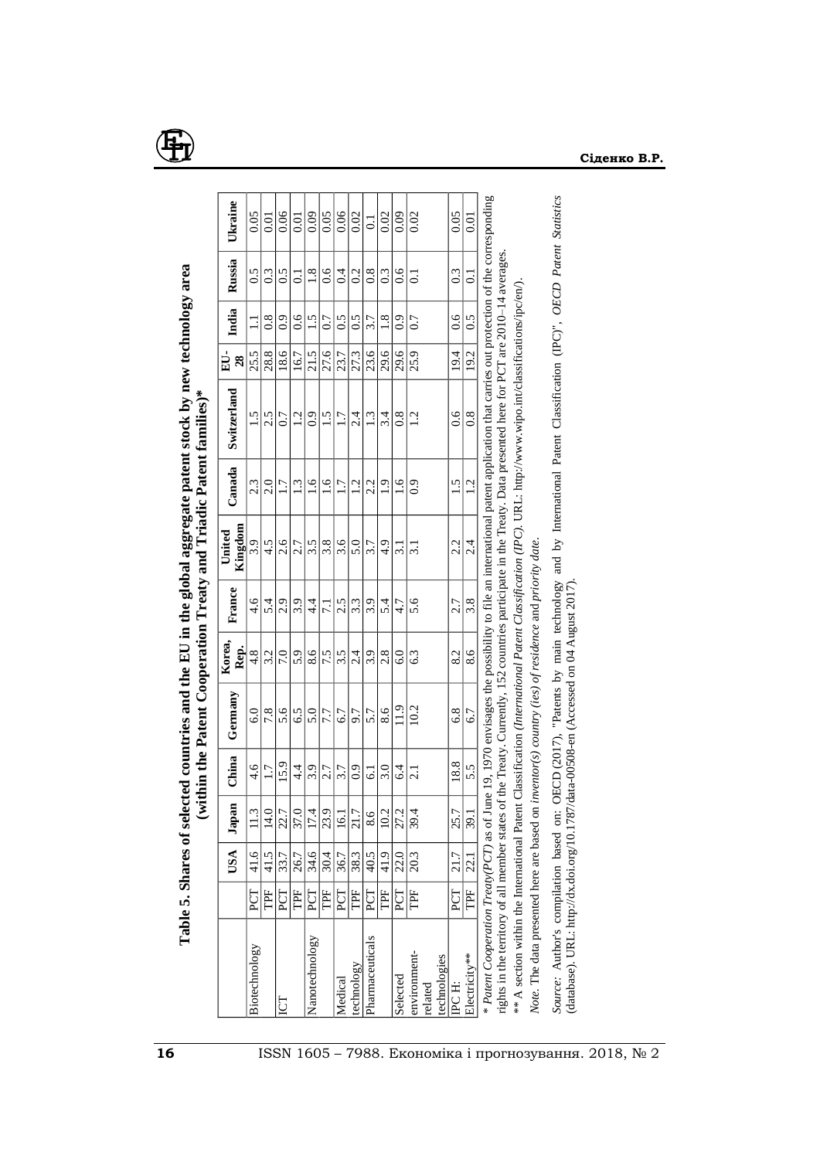

|                                                                                                                                                                             |     |      |               |                |                |                |          |                   |                | (within the Patent Cooperation Treaty and Triadic Patent families)*                                                  |           |             |                  |               |
|-----------------------------------------------------------------------------------------------------------------------------------------------------------------------------|-----|------|---------------|----------------|----------------|----------------|----------|-------------------|----------------|----------------------------------------------------------------------------------------------------------------------|-----------|-------------|------------------|---------------|
|                                                                                                                                                                             |     | USA  | Japan         | China          | Germany        | Korea,<br>Rep. | France   | Kingdom<br>United | Canada         | Switzerland                                                                                                          | EU-<br>28 | India       | Russia           | Ukraine       |
| Biotechnology                                                                                                                                                               | PCT | 41.6 | 11.3          | 4.6            | $\frac{0}{6}$  | $\frac{8}{4}$  | 4.6      | 3.9               | 2.3            | 1.5                                                                                                                  | 25.5      | Ξ           | $\frac{5}{2}$    | 0.05          |
|                                                                                                                                                                             | TPF | 41.5 | $\vec{4}$     | 1.7            | 7.8            | 3.2            | 5.4      | 4.5               | 2.0            | 2.5                                                                                                                  | 28.8      | 0.8         | $0.\overline{3}$ | 0.01          |
| E                                                                                                                                                                           | PCT | 33.7 | 22.7          | 15.9           | 5.6            | 7.0            | 2.9      | 2.6               | 1.7            | 0.7                                                                                                                  | 18.6      | $\ddot{0}$  | $\ddot{0}$ .     | 0.06          |
|                                                                                                                                                                             | TPF | 26.7 | 37.0          | 4.<br>4        | 6.5            | 5.9            | 3.9      | 2.7               | $\ddot{3}$     | $\frac{1}{2}$                                                                                                        | 16.7      | 0.6         | $\vec{\circ}$    | 0.01          |
| Nanotechnology                                                                                                                                                              | PCT | 34.6 | 17.4          | 3.9            | 5.0            | 8.6            | $4\cdot$ | 3.5               | $\frac{6}{1}$  | 0.9                                                                                                                  | 21.5      | 1.5         | $\frac{8}{1}$    | 0.09          |
|                                                                                                                                                                             | TPF | 30.4 | 23.9          | 2.7            | 7.7            | 7.5            | 11       | 3.8               | $\ddot{\circ}$ | د.<br>ا                                                                                                              | 27.6      | 0.7         | $\frac{6}{1}$    | 0.05          |
| Medical                                                                                                                                                                     | PCT | 36.7 | 16.           | 3.7            | 6.7            | 3.5            | 2.5      | 3.6               | 1.7            | $\overline{1.7}$                                                                                                     | 23.7      | 0.5         | 0.4              | 0.06          |
| technology                                                                                                                                                                  | TPF | 38.3 |               | $\ddot{0}$ .   | 9.7            | 2.4            | 3.3      | 5.0               | $\frac{1}{2}$  | 2.4                                                                                                                  | 27.3      | 0.5         | 0.2              | 0.02          |
| Pharmaceuticals                                                                                                                                                             | PCT | 40.5 | $\frac{6}{8}$ | ढ              | 5.7            | 3.9            | 3.9      | 3.7               | 2.2            | $\mathbf{L}$                                                                                                         | 23.6      | 3.7         | $\frac{8}{2}$    | $\bar{\circ}$ |
|                                                                                                                                                                             | TPF | 41.9 | 10.2          | 3.0            | 8.6            | 2.8            | 5.4      | 4.9               | $\frac{9}{1}$  | 3.4                                                                                                                  | 29.6      | 1.8         | 0.3              | 0.02          |
| Selected                                                                                                                                                                    | PCT | 22.0 | 27.2          | 6.4            | $\frac{0}{11}$ | $\frac{0}{6}$  | 4.7      | $\frac{1}{3}$     | $\frac{6}{1}$  | 0.8                                                                                                                  | 29.6      | 0.9         | $\frac{6}{1}$    | 0.09          |
| environment-                                                                                                                                                                | TPF | 20.3 | 39.4          | $\overline{c}$ | 10.2           | 6.3            | 5.6      | $\ddot{3}$ .      | $\ddot{\circ}$ | 1.2                                                                                                                  | 25.9      | 0.7         | $\overline{c}$   | 0.02          |
| related                                                                                                                                                                     |     |      |               |                |                |                |          |                   |                |                                                                                                                      |           |             |                  |               |
| cchnologies                                                                                                                                                                 |     |      |               |                |                |                |          |                   |                |                                                                                                                      |           |             |                  |               |
| IPCH:                                                                                                                                                                       | PCT | 21.7 | 25.7          | 18.8           | 6.8            | 8.2            | 2.7      | 2.2               | $\frac{5}{1}$  | 0.6                                                                                                                  | 19.4      | 0.6         | $0.\overline{3}$ | 0.05          |
| Electricity**                                                                                                                                                               | TPF | 22.1 | 39.1          | 5.5            | 6.7            | 8.6            | 3.8      | 2.4               | $\overline{c}$ | $\frac{8}{3}$                                                                                                        | 19.2      | $\tilde{0}$ | ಪ                | $_{0.01}$     |
| * Patent Cooperation Treaty(PCT) as of June 19, 1970 envisages the possibility to file an international patent application that carries out protection of the corresponding |     |      |               |                |                |                |          |                   |                |                                                                                                                      |           |             |                  |               |
| rights in the territory of all member states                                                                                                                                |     |      |               |                |                |                |          |                   |                | of the Treaty. Currently, 152 countries participate in the Treaty. Data presented here for PCT are 2010-14 averages. |           |             |                  |               |
| ** A section within the International Patent Classification (International Patent Classification (IPC). URL: http://www.wipo.int/classifications/ipc/en/).                  |     |      |               |                |                |                |          |                   |                |                                                                                                                      |           |             |                  |               |
| Note. The data presented here are based on <i>inventor(s)</i> country (ies) of residence and priority date.                                                                 |     |      |               |                |                |                |          |                   |                |                                                                                                                      |           |             |                  |               |
| Source: Author's compilation based on                                                                                                                                       |     |      |               |                |                |                |          |                   |                | : OECD (2017), "Patents by main technology and by International Patent Classification (IPC)", OECD Patent Statistics |           |             |                  |               |
| (database). URL: http://dx.doi.org/10.1787/data-00508-en (Accessed on 04 August 2017).                                                                                      |     |      |               |                |                |                |          |                   |                |                                                                                                                      |           |             |                  |               |
|                                                                                                                                                                             |     |      |               |                |                |                |          |                   |                |                                                                                                                      |           |             |                  |               |
|                                                                                                                                                                             |     |      |               |                |                |                |          |                   |                |                                                                                                                      |           |             |                  |               |

Table 5. Shares of selected countries and the EH in the olohal accreosic natent stock by new technology area **Table 5. Shares of selected countries and the EU in the global aggregate patent stock by new technology area**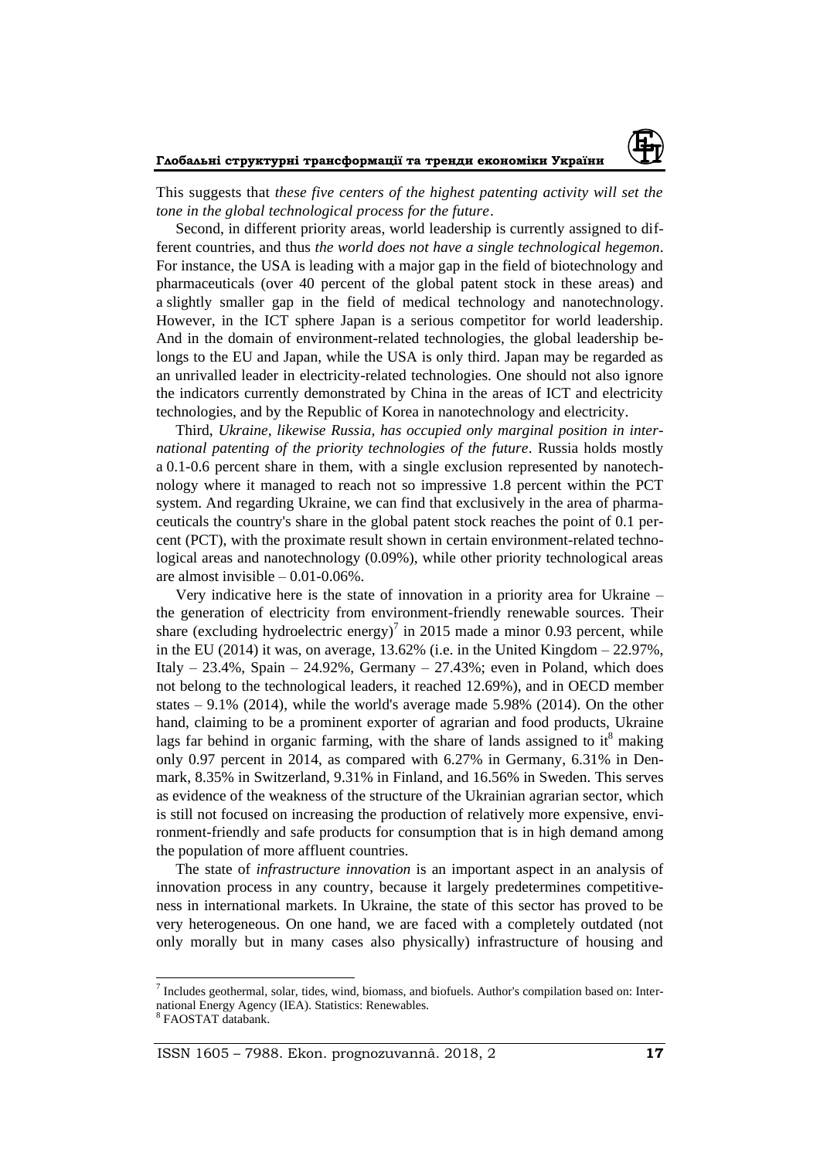

This suggests that *these five centers of the highest patenting activity will set the tone in the global technological process for the future*.

Second, in different priority areas, world leadership is currently assigned to different countries, and thus *the world does not have a single technological hegemon*. For instance, the USA is leading with a major gap in the field of biotechnology and pharmaceuticals (over 40 percent of the global patent stock in these areas) and a slightly smaller gap in the field of medical technology and nanotechnology. However, in the ICT sphere Japan is a serious competitor for world leadership. And in the domain of environment-related technologies, the global leadership belongs to the EU and Japan, while the USA is only third. Japan may be regarded as an unrivalled leader in electricity-related technologies. One should not also ignore the indicators currently demonstrated by China in the areas of ICT and electricity technologies, and by the Republic of Korea in nanotechnology and electricity.

Third, *Ukraine, likewise Russia, has occupied only marginal position in international patenting of the priority technologies of the future*. Russia holds mostly a 0.1-0.6 percent share in them, with a single exclusion represented by nanotechnology where it managed to reach not so impressive 1.8 percent within the PCT system. And regarding Ukraine, we can find that exclusively in the area of pharmaceuticals the country's share in the global patent stock reaches the point of 0.1 percent (PCT), with the proximate result shown in certain environment-related technological areas and nanotechnology (0.09%), while other priority technological areas are almost invisible – 0.01-0.06%.

Very indicative here is the state of innovation in a priority area for Ukraine – the generation of electricity from environment-friendly renewable sources. Their share (excluding hydroelectric energy)<sup>7</sup> in 2015 made a minor 0.93 percent, while in the EU (2014) it was, on average,  $13.62\%$  (i.e. in the United Kingdom  $-22.97\%$ , Italy  $-23.4\%$ , Spain  $-24.92\%$ , Germany  $-27.43\%$ ; even in Poland, which does not belong to the technological leaders, it reached 12.69%), and in OECD member states – 9.1% (2014), while the world's average made 5.98% (2014). On the other hand, claiming to be a prominent exporter of agrarian and food products, Ukraine lags far behind in organic farming, with the share of lands assigned to it<sup>8</sup> making only 0.97 percent in 2014, as compared with 6.27% in Germany, 6.31% in Denmark, 8.35% in Switzerland, 9.31% in Finland, and 16.56% in Sweden. This serves as evidence of the weakness of the structure of the Ukrainian agrarian sector, which is still not focused on increasing the production of relatively more expensive, environment-friendly and safe products for consumption that is in high demand among the population of more affluent countries.

The state of *infrastructure innovation* is an important aspect in an analysis of innovation process in any country, because it largely predetermines competitiveness in international markets. In Ukraine, the state of this sector has proved to be very heterogeneous. On one hand, we are faced with a completely outdated (not only morally but in many cases also physically) infrastructure of housing and

 $<sup>7</sup>$  Includes geothermal, solar, tides, wind, biomass, and biofuels. Author's compilation based on: Inter-</sup> national Energy Agency (IEA). Statistics: Renewables.

<sup>8</sup> FAOSTAT databank.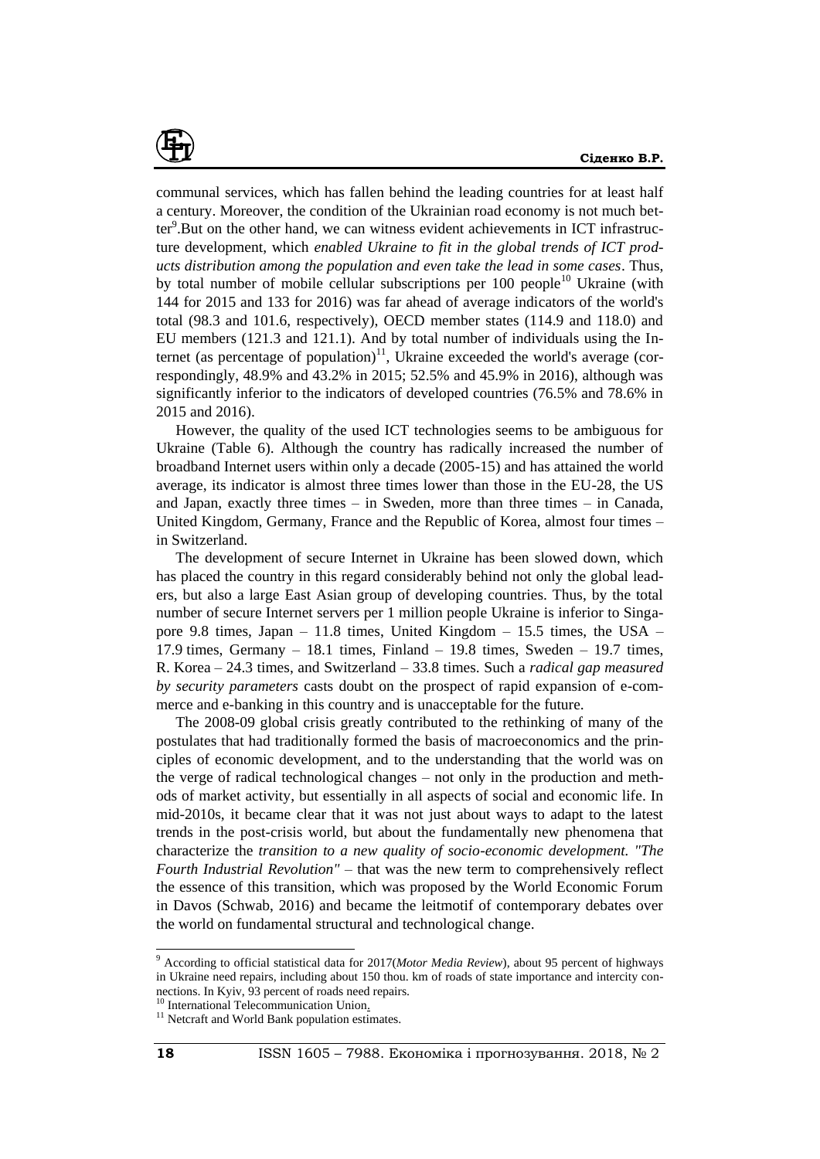

communal services, which has fallen behind the leading countries for at least half a century. Moreover, the condition of the Ukrainian road economy is not much better<sup>9</sup>. But on the other hand, we can witness evident achievements in ICT infrastructure development, which *enabled Ukraine to fit in the global trends of ICT products distribution among the population and even take the lead in some cases*. Thus, by total number of mobile cellular subscriptions per  $100$  people<sup>10</sup> Ukraine (with 144 for 2015 and 133 for 2016) was far ahead of average indicators of the world's total (98.3 and 101.6, respectively), OECD member states (114.9 and 118.0) and EU members (121.3 and 121.1). And by total number of individuals using the Internet (as percentage of population) $11$ , Ukraine exceeded the world's average (correspondingly, 48.9% and 43.2% in 2015; 52.5% and 45.9% in 2016), although was significantly inferior to the indicators of developed countries (76.5% and 78.6% in 2015 and 2016).

However, the quality of the used ICT technologies seems to be ambiguous for Ukraine (Table 6). Although the country has radically increased the number of broadband Internet users within only a decade (2005-15) and has attained the world average, its indicator is almost three times lower than those in the EU-28, the US and Japan, exactly three times – in Sweden, more than three times – in Canada, United Kingdom, Germany, France and the Republic of Korea, almost four times – in Switzerland.

The development of secure Internet in Ukraine has been slowed down, which has placed the country in this regard considerably behind not only the global leaders, but also a large East Asian group of developing countries. Thus, by the total number of secure Internet servers per 1 million people Ukraine is inferior to Singapore 9.8 times, Japan – 11.8 times, United Kingdom – 15.5 times, the USA – 17.9 times, Germany – 18.1 times, Finland – 19.8 times, Sweden – 19.7 times, R. Korea – 24.3 times, and Switzerland – 33.8 times. Such a *radical gap measured by security parameters* casts doubt on the prospect of rapid expansion of e-commerce and e-banking in this country and is unacceptable for the future.

The 2008-09 global crisis greatly contributed to the rethinking of many of the postulates that had traditionally formed the basis of macroeconomics and the principles of economic development, and to the understanding that the world was on the verge of radical technological changes – not only in the production and methods of market activity, but essentially in all aspects of social and economic life. In mid-2010s, it became clear that it was not just about ways to adapt to the latest trends in the post-crisis world, but about the fundamentally new phenomena that characterize the *transition to a new quality of socio-economic development. "The Fourth Industrial Revolution"* – that was the new term to comprehensively reflect the essence of this transition, which was proposed by the World Economic Forum in Davos (Schwab, 2016) and became the leitmotif of contemporary debates over the world on fundamental structural and technological change.

<sup>9</sup> According to official statistical data for 2017(*Motor Media Review*), about 95 percent of highways in Ukraine need repairs, including about 150 thou. km of roads of state importance and intercity connections. In Kyiv, 93 percent of roads need repairs.

<sup>&</sup>lt;sup>10</sup> International Telecommunication Union.

<sup>&</sup>lt;sup>11</sup> Netcraft and World Bank population estimates.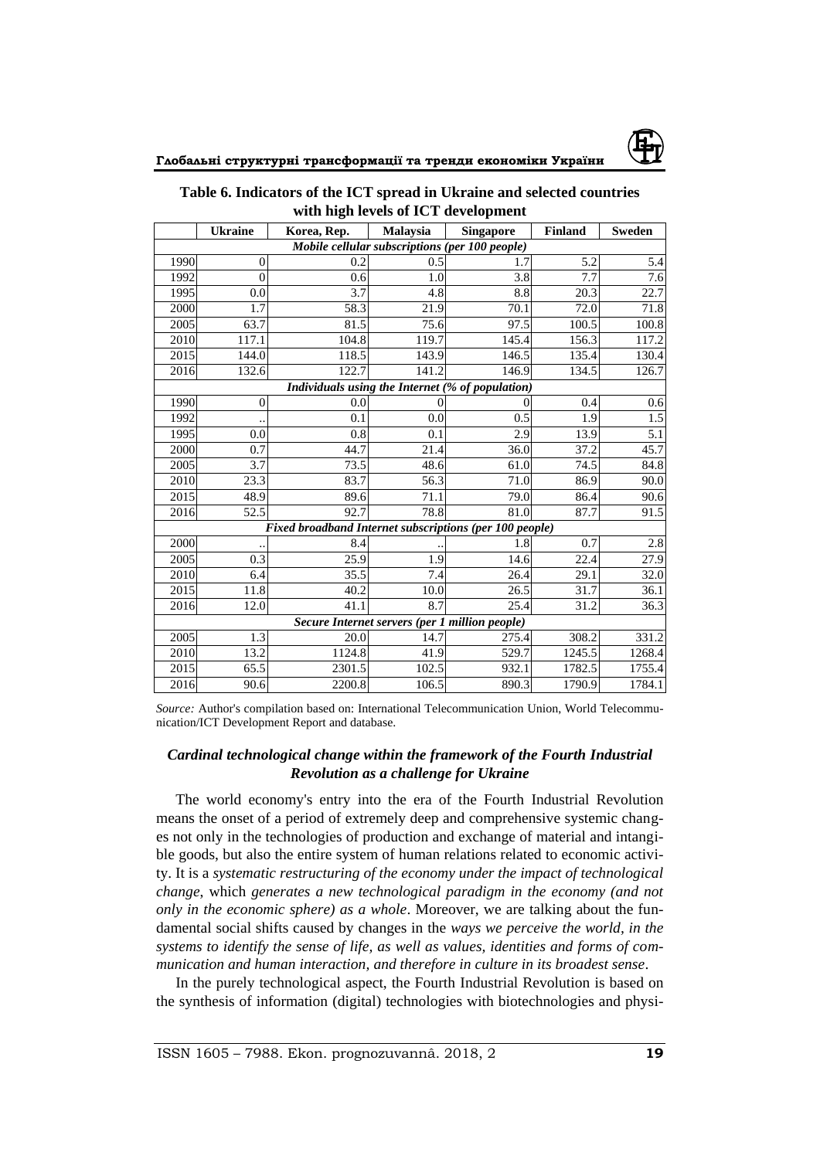

| Table 6. Indicators of the ICT spread in Ukraine and selected countries |
|-------------------------------------------------------------------------|
| with high levels of ICT development                                     |

|      | <b>Ukraine</b> | Korea, Rep.                                             | Malaysia | <b>Singapore</b>                                 | <b>Finland</b> | <b>Sweden</b>     |
|------|----------------|---------------------------------------------------------|----------|--------------------------------------------------|----------------|-------------------|
|      |                |                                                         |          | Mobile cellular subscriptions (per 100 people)   |                |                   |
| 1990 | $\theta$       | 0.2                                                     | 0.5      | 1.7                                              | 5.2            | 5.4               |
| 1992 | $\theta$       | 0.6                                                     | 1.0      | 3.8                                              | 7.7            | 7.6               |
| 1995 | 0.0            | 3.7                                                     | 4.8      | 8.8                                              | 20.3           | 22.7              |
| 2000 | 1.7            | $\overline{58.3}$                                       | 21.9     | 70.1                                             | 72.0           | 71.8              |
| 2005 | 63.7           | 81.5                                                    | 75.6     | 97.5                                             | 100.5          | 100.8             |
| 2010 | 117.1          | 104.8                                                   | 119.7    | 145.4                                            | 156.3          | 117.2             |
| 2015 | 144.0          | 118.5                                                   | 143.9    | 146.5                                            | 135.4          | 130.4             |
| 2016 | 132.6          | 122.7                                                   | 141.2    | 146.9                                            | 134.5          | 126.7             |
|      |                |                                                         |          | Individuals using the Internet (% of population) |                |                   |
| 1990 | $\theta$       | 0.0                                                     |          | 0                                                | 0.4            | 0.6               |
| 1992 |                | 0.1                                                     | 0.0      | 0.5                                              | 1.9            | 1.5               |
| 1995 | 0.0            | 0.8                                                     | 0.1      | 2.9                                              | 13.9           | $\overline{5.1}$  |
| 2000 | 0.7            | 44.7                                                    | 21.4     | 36.0                                             | 37.2           | 45.7              |
| 2005 | 3.7            | 73.5                                                    | 48.6     | 61.0                                             | 74.5           | 84.8              |
| 2010 | 23.3           | 83.7                                                    | 56.3     | 71.0                                             | 86.9           | 90.0              |
| 2015 | 48.9           | 89.6                                                    | 71.1     | 79.0                                             | 86.4           | $\overline{90.6}$ |
| 2016 | 52.5           | 92.7                                                    | 78.8     | 81.0                                             | 87.7           | 91.5              |
|      |                | Fixed broadband Internet subscriptions (per 100 people) |          |                                                  |                |                   |
| 2000 |                | 8.4                                                     |          | 1.8                                              | 0.7            | 2.8               |
| 2005 | 0.3            | 25.9                                                    | 1.9      | 14.6                                             | 22.4           | 27.9              |
| 2010 | 6.4            | 35.5                                                    | 7.4      | 26.4                                             | 29.1           | 32.0              |
| 2015 | 11.8           | 40.2                                                    | 10.0     | 26.5                                             | 31.7           | 36.1              |
| 2016 | 12.0           | 41.1                                                    | 8.7      | 25.4                                             | 31.2           | 36.3              |
|      |                |                                                         |          | Secure Internet servers (per 1 million people)   |                |                   |
| 2005 | 1.3            | 20.0                                                    | 14.7     | 275.4                                            | 308.2          | 331.2             |
| 2010 | 13.2           | 1124.8                                                  | 41.9     | 529.7                                            | 1245.5         | 1268.4            |
| 2015 | 65.5           | 2301.5                                                  | 102.5    | 932.1                                            | 1782.5         | 1755.4            |
| 2016 | 90.6           | 2200.8                                                  | 106.5    | 890.3                                            | 1790.9         | 1784.1            |

*Source:* Author's compilation based on: International Telecommunication Union, World Telecommunication/ICT Development Report and database.

# *Cardinal technological change within the framework of the Fourth Industrial Revolution as a challenge for Ukraine*

The world economy's entry into the era of the Fourth Industrial Revolution means the onset of a period of extremely deep and comprehensive systemic changes not only in the technologies of production and exchange of material and intangible goods, but also the entire system of human relations related to economic activity. It is a *systematic restructuring of the economy under the impact of technological change*, which *generates a new technological paradigm in the economy (and not only in the economic sphere) as a whole*. Moreover, we are talking about the fundamental social shifts caused by changes in the *ways we perceive the world, in the systems to identify the sense of life, as well as values, identities and forms of communication and human interaction, and therefore in culture in its broadest sense*.

In the purely technological aspect, the Fourth Industrial Revolution is based on the synthesis of information (digital) technologies with biotechnologies and physi-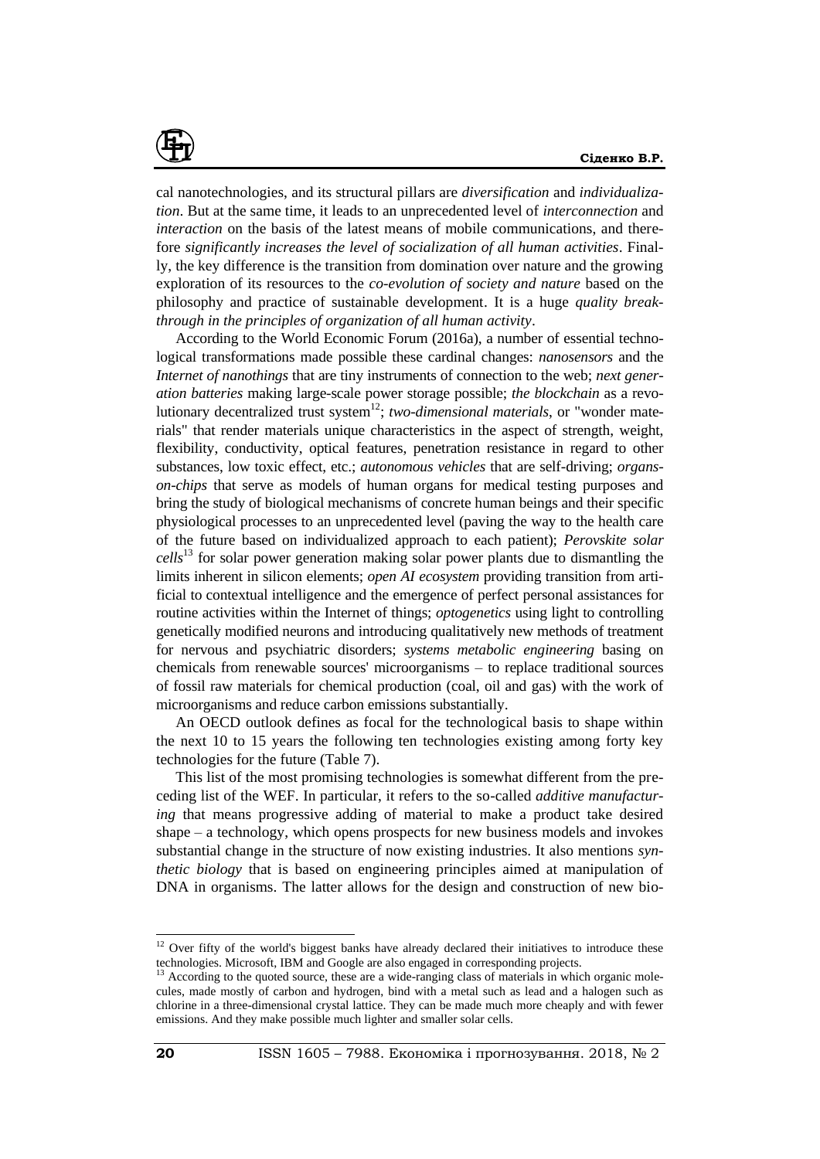

cal nanotechnologies, and its structural pillars are *diversification* and *individualization*. But at the same time, it leads to an unprecedented level of *interconnection* and *interaction* on the basis of the latest means of mobile communications, and therefore *significantly increases the level of socialization of all human activities*. Finally, the key difference is the transition from domination over nature and the growing exploration of its resources to the *co-evolution of society and nature* based on the philosophy and practice of sustainable development. It is a huge *quality breakthrough in the principles of organization of all human activity*.

According to the World Economic Forum (2016a), a number of essential technological transformations made possible these cardinal changes: *nanosensors* and the *Internet of nanothings* that are tiny instruments of connection to the web; *next generation batteries* making large-scale power storage possible; *the blockchain* as a revolutionary decentralized trust system<sup>12</sup>; *two-dimensional materials*, or "wonder materials" that render materials unique characteristics in the aspect of strength, weight, flexibility, conductivity, optical features, penetration resistance in regard to other substances, low toxic effect, etc.; *autonomous vehicles* that are self-driving; *organson-chips* that serve as models of human organs for medical testing purposes and bring the study of biological mechanisms of concrete human beings and their specific physiological processes to an unprecedented level (paving the way to the health care of the future based on individualized approach to each patient); *Perovskite solar cells*<sup>13</sup> for solar power generation making solar power plants due to dismantling the limits inherent in silicon elements; *open AI ecosystem* providing transition from artificial to contextual intelligence and the emergence of perfect personal assistances for routine activities within the Internet of things; *optogenetics* using light to controlling genetically modified neurons and introducing qualitatively new methods of treatment for nervous and psychiatric disorders; *systems metabolic engineering* basing on chemicals from renewable sources' microorganisms – to replace traditional sources of fossil raw materials for chemical production (coal, oil and gas) with the work of microorganisms and reduce carbon emissions substantially.

An OECD outlook defines as focal for the technological basis to shape within the next 10 to 15 years the following ten technologies existing among forty key technologies for the future (Table 7).

This list of the most promising technologies is somewhat different from the preceding list of the WEF. In particular, it refers to the so-called *additive manufacturing* that means progressive adding of material to make a product take desired shape – a technology, which opens prospects for new business models and invokes substantial change in the structure of now existing industries. It also mentions *synthetic biology* that is based on engineering principles aimed at manipulation of DNA in organisms. The latter allows for the design and construction of new bio-

 $12$  Over fifty of the world's biggest banks have already declared their initiatives to introduce these technologies. Microsoft, IBM and Google are also engaged in corresponding projects.

<sup>&</sup>lt;sup>13</sup> According to the quoted source, these are a wide-ranging class of materials in which organic molecules, made mostly of carbon and hydrogen, bind with a metal such as lead and a halogen such as chlorine in a three-dimensional crystal lattice. They can be made much more cheaply and with fewer emissions. And they make possible much lighter and smaller solar cells.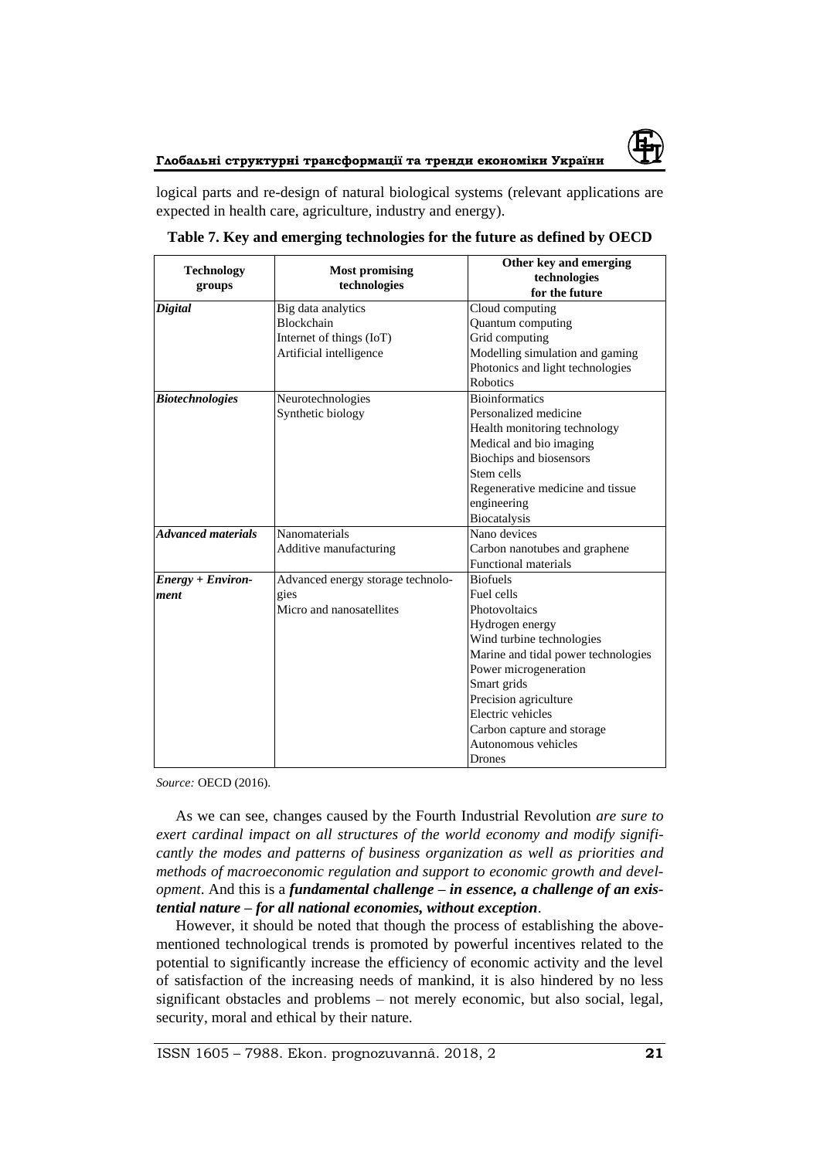

logical parts and re-design of natural biological systems (relevant applications are expected in health care, agriculture, industry and energy).

| <b>Technology</b>         | <b>Most promising</b>             | Other key and emerging<br>technologies |
|---------------------------|-----------------------------------|----------------------------------------|
| groups                    | technologies                      | for the future                         |
| Digital                   | Big data analytics                | Cloud computing                        |
|                           | <b>Blockchain</b>                 | Quantum computing                      |
|                           | Internet of things (IoT)          | Grid computing                         |
|                           | Artificial intelligence           | Modelling simulation and gaming        |
|                           |                                   | Photonics and light technologies       |
|                           |                                   | <b>Robotics</b>                        |
| <b>Biotechnologies</b>    | Neurotechnologies                 | <b>Bioinformatics</b>                  |
|                           | Synthetic biology                 | Personalized medicine                  |
|                           |                                   | Health monitoring technology           |
|                           |                                   | Medical and bio imaging                |
|                           |                                   | Biochips and biosensors                |
|                           |                                   | Stem cells                             |
|                           |                                   | Regenerative medicine and tissue       |
|                           |                                   | engineering                            |
|                           |                                   | <b>Biocatalysis</b>                    |
| <b>Advanced materials</b> | Nanomaterials                     | Nano devices                           |
|                           | Additive manufacturing            | Carbon nanotubes and graphene          |
|                           |                                   | <b>Functional materials</b>            |
| <b>Energy + Environ-</b>  | Advanced energy storage technolo- | <b>Biofuels</b>                        |
| ment                      | gies                              | Fuel cells                             |
|                           | Micro and nanosatellites          | Photovoltaics                          |
|                           |                                   | Hydrogen energy                        |
|                           |                                   | Wind turbine technologies              |
|                           |                                   | Marine and tidal power technologies    |
|                           |                                   | Power microgeneration                  |
|                           |                                   | Smart grids                            |
|                           |                                   | Precision agriculture                  |
|                           |                                   | Electric vehicles                      |
|                           |                                   | Carbon capture and storage             |
|                           |                                   | Autonomous vehicles                    |
|                           |                                   | Drones                                 |

| Table 7. Key and emerging technologies for the future as defined by OECD |  |
|--------------------------------------------------------------------------|--|
|--------------------------------------------------------------------------|--|

*Source:* OECD (2016).

As we can see, changes caused by the Fourth Industrial Revolution *are sure to exert cardinal impact on all structures of the world economy and modify significantly the modes and patterns of business organization as well as priorities and methods of macroeconomic regulation and support to economic growth and development*. And this is a *fundamental challenge – in essence, a challenge of an existential nature – for all national economies, without exception*.

However, it should be noted that though the process of establishing the abovementioned technological trends is promoted by powerful incentives related to the potential to significantly increase the efficiency of economic activity and the level of satisfaction of the increasing needs of mankind, it is also hindered by no less significant obstacles and problems – not merely economic, but also social, legal, security, moral and ethical by their nature.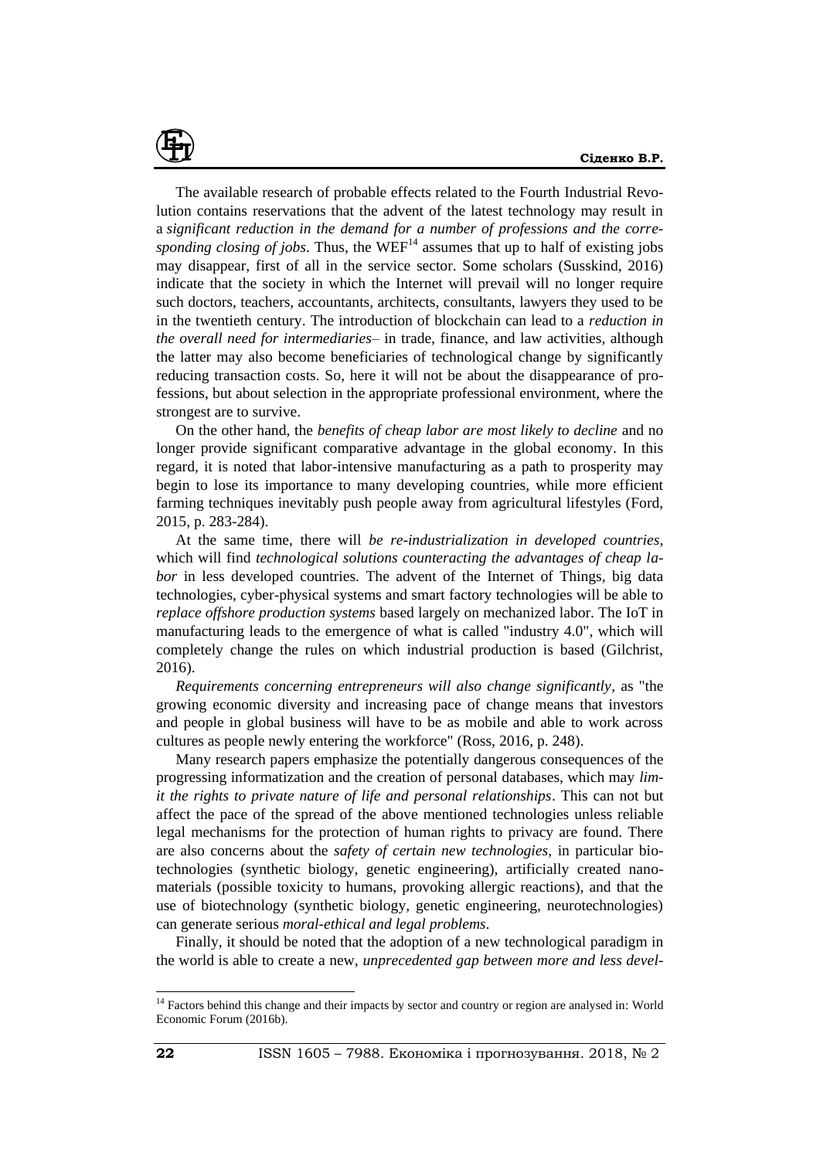

The available research of probable effects related to the Fourth Industrial Revolution contains reservations that the advent of the latest technology may result in a *significant reduction in the demand for a number of professions and the corresponding closing of jobs.* Thus, the  $WEF^{14}$  assumes that up to half of existing jobs may disappear, first of all in the service sector. Some scholars (Susskind, 2016) indicate that the society in which the Internet will prevail will no longer require such doctors, teachers, accountants, architects, consultants, lawyers they used to be in the twentieth century. The introduction of blockchain can lead to a *reduction in the overall need for intermediaries*– in trade, finance, and law activities, although the latter may also become beneficiaries of technological change by significantly reducing transaction costs. So, here it will not be about the disappearance of professions, but about selection in the appropriate professional environment, where the strongest are to survive.

On the other hand, the *benefits of cheap labor are most likely to decline* and no longer provide significant comparative advantage in the global economy. In this regard, it is noted that labor-intensive manufacturing as a path to prosperity may begin to lose its importance to many developing countries, while more efficient farming techniques inevitably push people away from agricultural lifestyles (Ford, 2015, p. 283-284).

At the same time, there will *be re-industrialization in developed countries*, which will find *technological solutions counteracting the advantages of cheap labor* in less developed countries. The advent of the Internet of Things, big data technologies, cyber-physical systems and smart factory technologies will be able to *replace offshore production systems* based largely on mechanized labor. The IoT in manufacturing leads to the emergence of what is called "industry 4.0", which will completely change the rules on which industrial production is based (Gilchrist, 2016).

*Requirements concerning entrepreneurs will also change significantly*, as "the growing economic diversity and increasing pace of change means that investors and people in global business will have to be as mobile and able to work across cultures as people newly entering the workforce" (Ross, 2016, p. 248).

Many research papers emphasize the potentially dangerous consequences of the progressing informatization and the creation of personal databases, which may *limit the rights to private nature of life and personal relationships*. This can not but affect the pace of the spread of the above mentioned technologies unless reliable legal mechanisms for the protection of human rights to privacy are found. There are also concerns about the *safety of certain new technologies*, in particular biotechnologies (synthetic biology, genetic engineering), artificially created nanomaterials (possible toxicity to humans, provoking allergic reactions), and that the use of biotechnology (synthetic biology, genetic engineering, neurotechnologies) can generate serious *moral-ethical and legal problems*.

Finally, it should be noted that the adoption of a new technological paradigm in the world is able to create a new, *unprecedented gap between more and less devel-*

<sup>&</sup>lt;sup>14</sup> Factors behind this change and their impacts by sector and country or region are analysed in: World Economic Forum (2016b).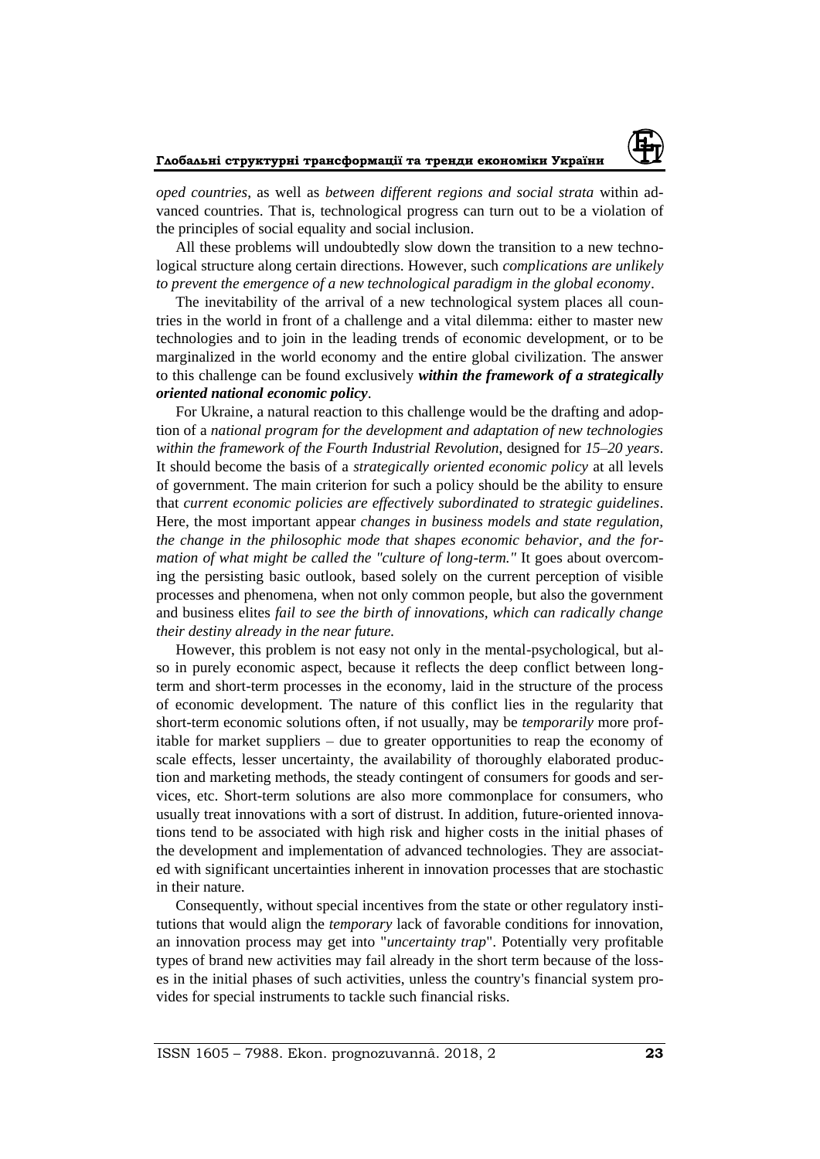### **Глобальні структурні трансформації та тренди економіки України**



*oped countries*, as well as *between different regions and social strata* within advanced countries. That is, technological progress can turn out to be a violation of the principles of social equality and social inclusion.

All these problems will undoubtedly slow down the transition to a new technological structure along certain directions. However, such *complications are unlikely to prevent the emergence of a new technological paradigm in the global economy*.

The inevitability of the arrival of a new technological system places all countries in the world in front of a challenge and a vital dilemma: either to master new technologies and to join in the leading trends of economic development, or to be marginalized in the world economy and the entire global civilization. The answer to this challenge can be found exclusively *within the framework of a strategically oriented national economic policy*.

For Ukraine, a natural reaction to this challenge would be the drafting and adoption of a *national program for the development and adaptation of new technologies within the framework of the Fourth Industrial Revolution*, designed for *15–20 years*. It should become the basis of a *strategically oriented economic policy* at all levels of government. The main criterion for such a policy should be the ability to ensure that *current economic policies are effectively subordinated to strategic guidelines*. Here, the most important appear *changes in business models and state regulation, the change in the philosophic mode that shapes economic behavior, and the formation of what might be called the "culture of long-term."* It goes about overcoming the persisting basic outlook, based solely on the current perception of visible processes and phenomena, when not only common people, but also the government and business elites *fail to see the birth of innovations, which can radically change their destiny already in the near future.*

However, this problem is not easy not only in the mental-psychological, but also in purely economic aspect, because it reflects the deep conflict between longterm and short-term processes in the economy, laid in the structure of the process of economic development. The nature of this conflict lies in the regularity that short-term economic solutions often, if not usually, may be *temporarily* more profitable for market suppliers – due to greater opportunities to reap the economy of scale effects, lesser uncertainty, the availability of thoroughly elaborated production and marketing methods, the steady contingent of consumers for goods and services, etc. Short-term solutions are also more commonplace for consumers, who usually treat innovations with a sort of distrust. In addition, future-oriented innovations tend to be associated with high risk and higher costs in the initial phases of the development and implementation of advanced technologies. They are associated with significant uncertainties inherent in innovation processes that are stochastic in their nature.

Consequently, without special incentives from the state or other regulatory institutions that would align the *temporary* lack of favorable conditions for innovation, an innovation process may get into "*uncertainty trap*". Potentially very profitable types of brand new activities may fail already in the short term because of the losses in the initial phases of such activities, unless the country's financial system provides for special instruments to tackle such financial risks.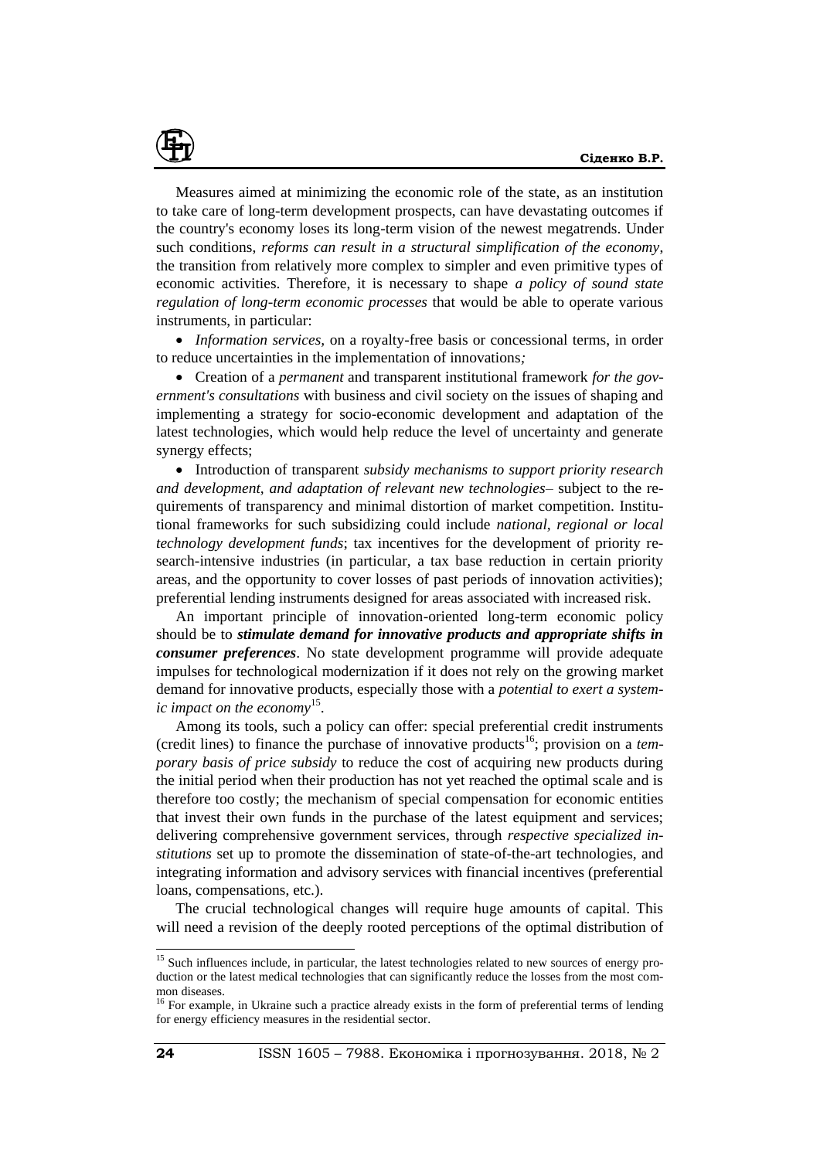

Measures aimed at minimizing the economic role of the state, as an institution to take care of long-term development prospects, can have devastating outcomes if the country's economy loses its long-term vision of the newest megatrends. Under such conditions, *reforms can result in a structural simplification of the economy*, the transition from relatively more complex to simpler and even primitive types of economic activities. Therefore, it is necessary to shape *a policy of sound state regulation of long-term economic processes* that would be able to operate various instruments, in particular:

 *Information services,* on a royalty-free basis or concessional terms, in order to reduce uncertainties in the implementation of innovations*;*

 Creation of a *permanent* and transparent institutional framework *for the government's consultations* with business and civil society on the issues of shaping and implementing a strategy for socio-economic development and adaptation of the latest technologies, which would help reduce the level of uncertainty and generate synergy effects;

 Introduction of transparent *subsidy mechanisms to support priority research and development, and adaptation of relevant new technologies*– subject to the requirements of transparency and minimal distortion of market competition. Institutional frameworks for such subsidizing could include *national, regional or local technology development funds*; tax incentives for the development of priority research-intensive industries (in particular, a tax base reduction in certain priority areas, and the opportunity to cover losses of past periods of innovation activities); preferential lending instruments designed for areas associated with increased risk.

An important principle of innovation-oriented long-term economic policy should be to *stimulate demand for innovative products and appropriate shifts in consumer preferences*. No state development programme will provide adequate impulses for technological modernization if it does not rely on the growing market demand for innovative products, especially those with a *potential to exert a systemic impact on the economy*<sup>15</sup> .

Among its tools, such a policy can offer: special preferential credit instruments (credit lines) to finance the purchase of innovative products<sup>16</sup>; provision on a *temporary basis of price subsidy* to reduce the cost of acquiring new products during the initial period when their production has not yet reached the optimal scale and is therefore too costly; the mechanism of special compensation for economic entities that invest their own funds in the purchase of the latest equipment and services; delivering comprehensive government services, through *respective specialized institutions* set up to promote the dissemination of state-of-the-art technologies, and integrating information and advisory services with financial incentives (preferential loans, compensations, etc.).

The crucial technological changes will require huge amounts of capital. This will need a revision of the deeply rooted perceptions of the optimal distribution of

<sup>&</sup>lt;sup>15</sup> Such influences include, in particular, the latest technologies related to new sources of energy production or the latest medical technologies that can significantly reduce the losses from the most common diseases.

<sup>&</sup>lt;sup>16</sup> For example, in Ukraine such a practice already exists in the form of preferential terms of lending for energy efficiency measures in the residential sector.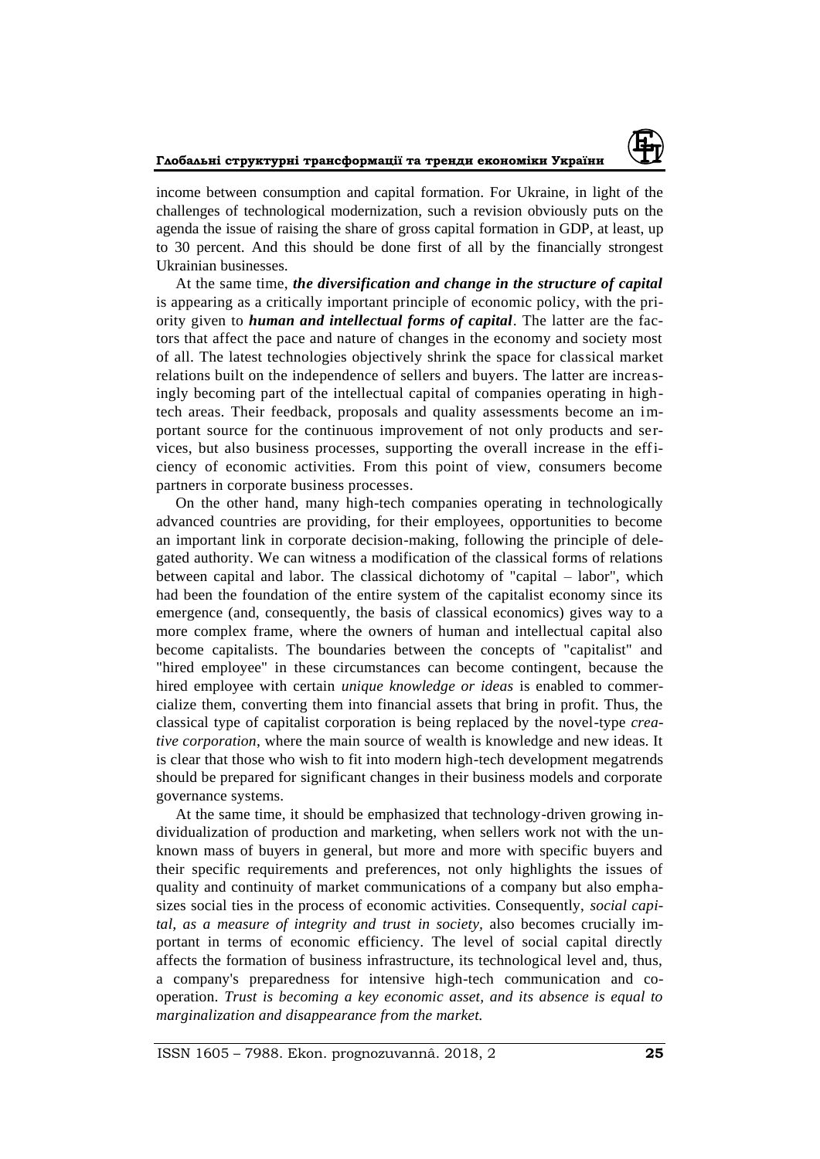### **Глобальні структурні трансформації та тренди економіки України**



income between consumption and capital formation. For Ukraine, in light of the challenges of technological modernization, such a revision obviously puts on the agenda the issue of raising the share of gross capital formation in GDP, at least, up to 30 percent. And this should be done first of all by the financially strongest Ukrainian businesses.

At the same time, *the diversification and change in the structure of capital*  is appearing as a critically important principle of economic policy, with the priority given to *human and intellectual forms of capital*. The latter are the factors that affect the pace and nature of changes in the economy and society most of all. The latest technologies objectively shrink the space for classical market relations built on the independence of sellers and buyers. The latter are increasingly becoming part of the intellectual capital of companies operating in hightech areas. Their feedback, proposals and quality assessments become an important source for the continuous improvement of not only products and services, but also business processes, supporting the overall increase in the efficiency of economic activities. From this point of view, consumers become partners in corporate business processes.

On the other hand, many high-tech companies operating in technologically advanced countries are providing, for their employees, opportunities to become an important link in corporate decision-making, following the principle of delegated authority. We can witness a modification of the classical forms of relations between capital and labor. The classical dichotomy of "capital – labor", which had been the foundation of the entire system of the capitalist economy since its emergence (and, consequently, the basis of classical economics) gives way to a more complex frame, where the owners of human and intellectual capital also become capitalists. The boundaries between the concepts of "capitalist" and "hired employee" in these circumstances can become contingent, because the hired employee with certain *unique knowledge or ideas* is enabled to commercialize them, converting them into financial assets that bring in profit. Thus, the classical type of capitalist corporation is being replaced by the novel-type *creative corporation*, where the main source of wealth is knowledge and new ideas. It is clear that those who wish to fit into modern high-tech development megatrends should be prepared for significant changes in their business models and corporate governance systems.

At the same time, it should be emphasized that technology-driven growing individualization of production and marketing, when sellers work not with the unknown mass of buyers in general, but more and more with specific buyers and their specific requirements and preferences, not only highlights the issues of quality and continuity of market communications of a company but also emphasizes social ties in the process of economic activities. Consequently, *social capital, as a measure of integrity and trust in society,* also becomes crucially important in terms of economic efficiency. The level of social capital directly affects the formation of business infrastructure, its technological level and, thus, a company's preparedness for intensive high-tech communication and cooperation. *Trust is becoming a key economic asset, and its absence is equal to marginalization and disappearance from the market.*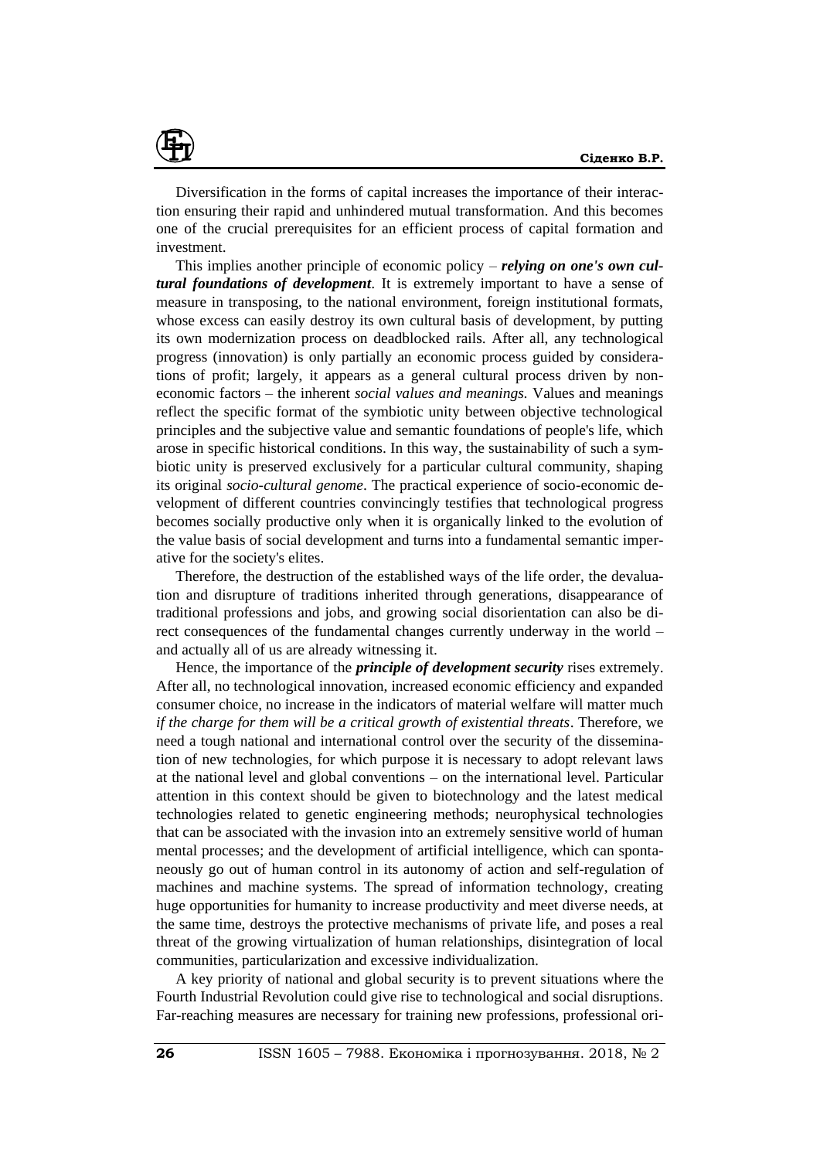

Diversification in the forms of capital increases the importance of their interaction ensuring their rapid and unhindered mutual transformation. And this becomes one of the crucial prerequisites for an efficient process of capital formation and investment.

This implies another principle of economic policy – *relying on one's own cultural foundations of development*. It is extremely important to have a sense of measure in transposing, to the national environment, foreign institutional formats, whose excess can easily destroy its own cultural basis of development, by putting its own modernization process on deadblocked rails. After all, any technological progress (innovation) is only partially an economic process guided by considerations of profit; largely, it appears as a general cultural process driven by noneconomic factors – the inherent *social values and meanings.* Values and meanings reflect the specific format of the symbiotic unity between objective technological principles and the subjective value and semantic foundations of people's life, which arose in specific historical conditions. In this way, the sustainability of such a symbiotic unity is preserved exclusively for a particular cultural community, shaping its original *socio-cultural genome*. The practical experience of socio-economic development of different countries convincingly testifies that technological progress becomes socially productive only when it is organically linked to the evolution of the value basis of social development and turns into a fundamental semantic imperative for the society's elites.

Therefore, the destruction of the established ways of the life order, the devaluation and disrupture of traditions inherited through generations, disappearance of traditional professions and jobs, and growing social disorientation can also be direct consequences of the fundamental changes currently underway in the world – and actually all of us are already witnessing it.

Hence, the importance of the *principle of development security* rises extremely. After all, no technological innovation, increased economic efficiency and expanded consumer choice, no increase in the indicators of material welfare will matter much *if the charge for them will be a critical growth of existential threats*. Therefore, we need a tough national and international control over the security of the dissemination of new technologies, for which purpose it is necessary to adopt relevant laws at the national level and global conventions – on the international level. Particular attention in this context should be given to biotechnology and the latest medical technologies related to genetic engineering methods; neurophysical technologies that can be associated with the invasion into an extremely sensitive world of human mental processes; and the development of artificial intelligence, which can spontaneously go out of human control in its autonomy of action and self-regulation of machines and machine systems. The spread of information technology, creating huge opportunities for humanity to increase productivity and meet diverse needs, at the same time, destroys the protective mechanisms of private life, and poses a real threat of the growing virtualization of human relationships, disintegration of local communities, particularization and excessive individualization.

A key priority of national and global security is to prevent situations where the Fourth Industrial Revolution could give rise to technological and social disruptions. Far-reaching measures are necessary for training new professions, professional ori-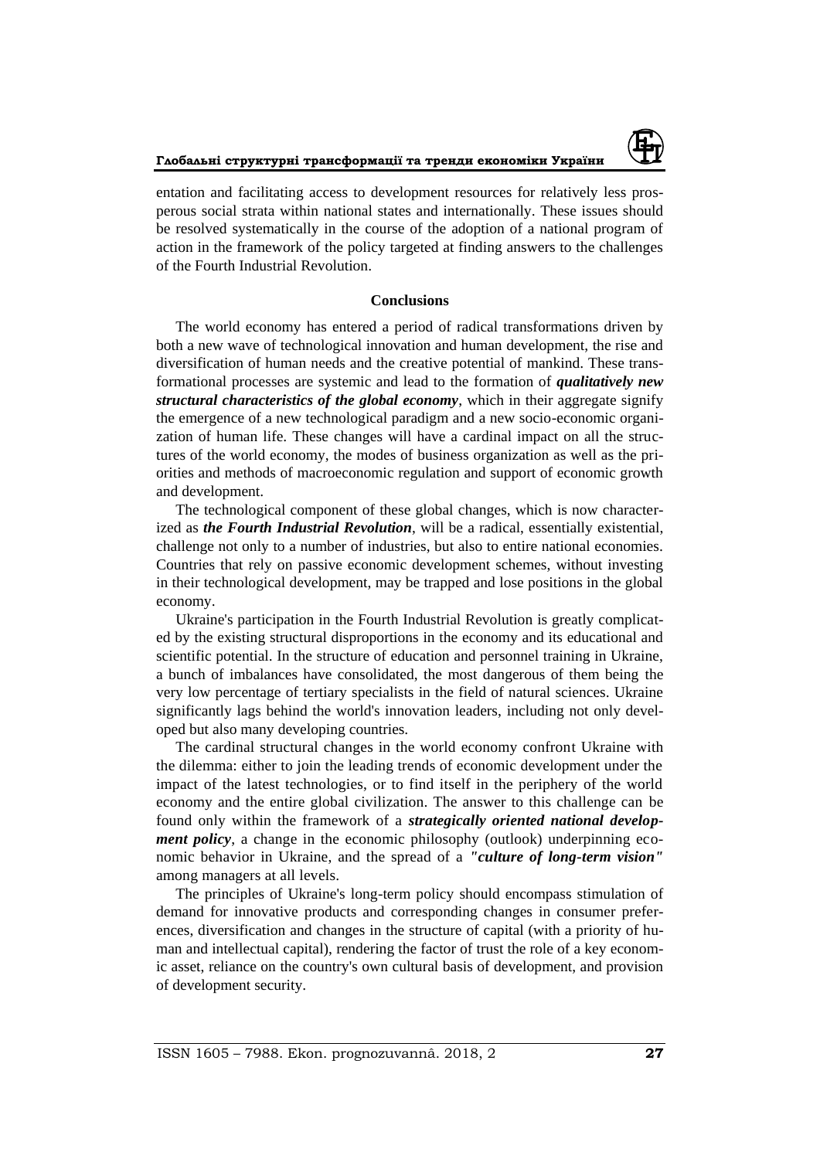

entation and facilitating access to development resources for relatively less prosperous social strata within national states and internationally. These issues should be resolved systematically in the course of the adoption of a national program of action in the framework of the policy targeted at finding answers to the challenges of the Fourth Industrial Revolution.

# **Conclusions**

The world economy has entered a period of radical transformations driven by both a new wave of technological innovation and human development, the rise and diversification of human needs and the creative potential of mankind. These transformational processes are systemic and lead to the formation of *qualitatively new structural characteristics of the global economy*, which in their aggregate signify the emergence of a new technological paradigm and a new socio-economic organization of human life. These changes will have a cardinal impact on all the structures of the world economy, the modes of business organization as well as the priorities and methods of macroeconomic regulation and support of economic growth and development.

The technological component of these global changes, which is now characterized as *the Fourth Industrial Revolution*, will be a radical, essentially existential, challenge not only to a number of industries, but also to entire national economies. Countries that rely on passive economic development schemes, without investing in their technological development, may be trapped and lose positions in the global economy.

Ukraine's participation in the Fourth Industrial Revolution is greatly complicated by the existing structural disproportions in the economy and its educational and scientific potential. In the structure of education and personnel training in Ukraine, a bunch of imbalances have consolidated, the most dangerous of them being the very low percentage of tertiary specialists in the field of natural sciences. Ukraine significantly lags behind the world's innovation leaders, including not only developed but also many developing countries.

The cardinal structural changes in the world economy confront Ukraine with the dilemma: either to join the leading trends of economic development under the impact of the latest technologies, or to find itself in the periphery of the world economy and the entire global civilization. The answer to this challenge can be found only within the framework of a *strategically oriented national development policy*, a change in the economic philosophy (outlook) underpinning economic behavior in Ukraine, and the spread of a *"culture of long-term vision"* among managers at all levels.

The principles of Ukraine's long-term policy should encompass stimulation of demand for innovative products and corresponding changes in consumer preferences, diversification and changes in the structure of capital (with a priority of human and intellectual capital), rendering the factor of trust the role of a key economic asset, reliance on the country's own cultural basis of development, and provision of development security.